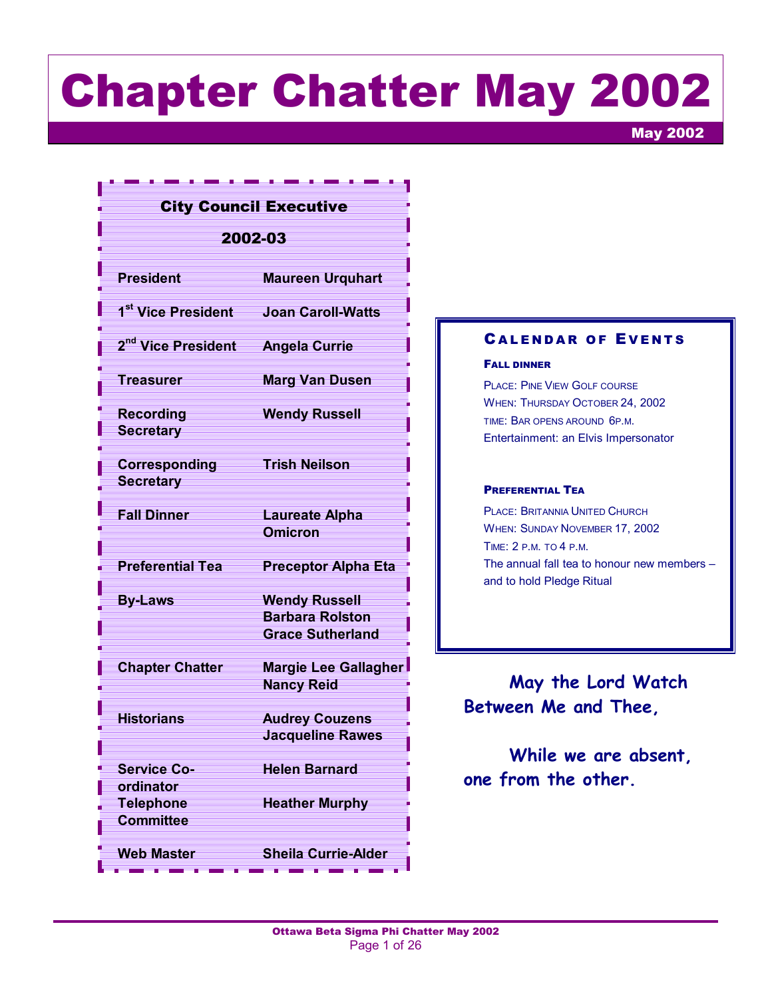# Chapter Chatter May 2002

May 2002

#### City Council Executive

#### 2002-03

| <b>President</b>                           | <b>Maureen Urquhart</b>                                                   |
|--------------------------------------------|---------------------------------------------------------------------------|
| 1 <sup>st</sup> Vice President             | <b>Joan Caroll-Watts</b>                                                  |
| 2 <sup>nd</sup> Vice President             | <b>Angela Currie</b>                                                      |
| Treasurer                                  | <b>Marg Van Dusen</b>                                                     |
| <b>Recording</b><br><b>Secretary</b>       | <b>Wendy Russell</b>                                                      |
| Corresponding<br><b>Secretary</b>          | <b>Trish Neilson</b>                                                      |
| <b>Fall Dinner</b>                         | <b>Laureate Alpha</b><br><b>Omicron</b>                                   |
| <b>Preferential Tea</b>                    | <b>Preceptor Alpha Eta</b>                                                |
| <b>By-Laws</b>                             | <b>Wendy Russell</b><br><b>Barbara Rolston</b><br><b>Grace Sutherland</b> |
| <b>Chapter Chatter</b>                     | <b>Margie Lee Gallagher</b><br><b>Nancy Reid</b>                          |
| <b>Historians</b>                          | <b>Audrey Couzens</b><br><b>Jacqueline Rawes</b>                          |
| <b>Service Co-</b>                         | <b>Helen Barnard</b>                                                      |
| ordinator<br><b>Telephone</b><br>Committee | <b>Heather Murphy</b>                                                     |
| <b>Web Master</b>                          | <b>Sheila Currie-Alder</b>                                                |
|                                            |                                                                           |

#### **CALENDAR OF EVENTS**

#### FALL DINNER

PLACE: PINE VIEW GOLF COURSE WHEN: THURSDAY OCTOBER 24, 2002 TIME: BAR OPENS AROUND 6P.M. Entertainment: an Elvis Impersonator

#### PREFERENTIAL TEA

PLACE: BRITANNIA UNITED CHURCH WHEN: SUNDAY NOVEMBER 17, 2002 TIME: 2 P.M. TO 4 P.M. The annual fall tea to honour new members  $$ and to hold Pledge Ritual

**May the Lord Watch Between Me and Thee,** 

**While we are absent, one from the other.**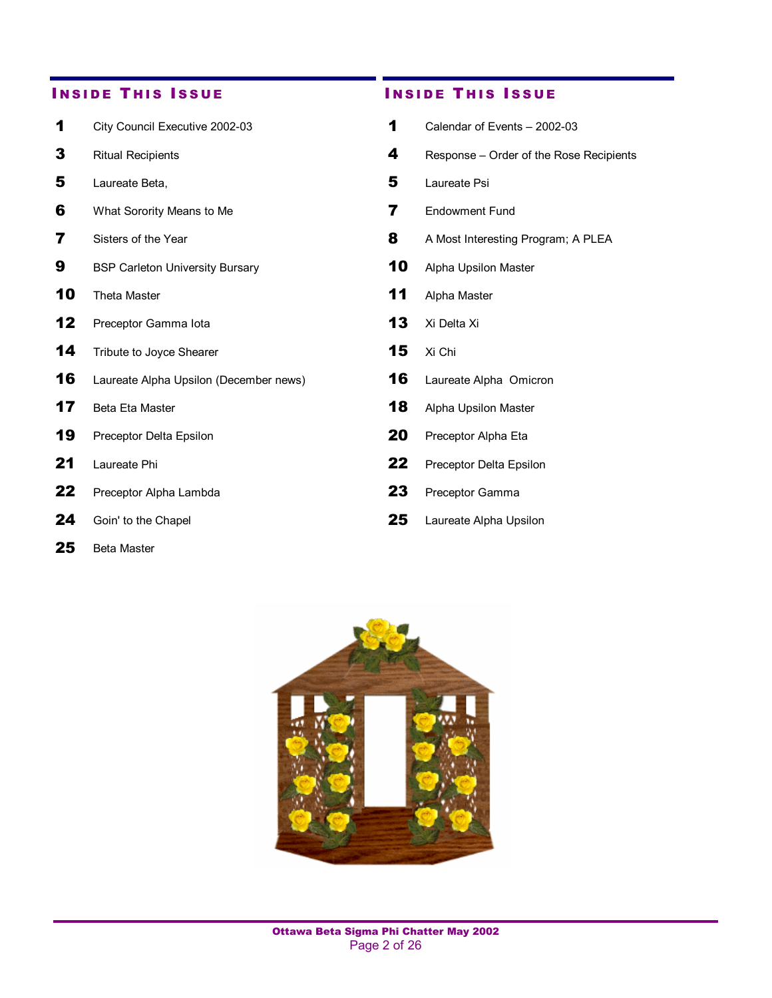- 1 City Council Executive 2002-03 1 Calendar of Events 2002-03
- 
- 
- 6 What Sorority Means to Me 7 Endowment Fund
- 
- **9** BSP Carleton University Bursary **10** Alpha Upsilon Master
- 
- 12 Preceptor Gamma Iota 13 Xi Delta Xi
- 14 Tribute to Joyce Shearer 15 Xi Chi
- 16 Laureate Alpha Upsilon (December news) 16 Laureate Alpha Omicron
- 
- 
- 
- 22 Preceptor Alpha Lambda 23 Preceptor Gamma
- 
- 25 Beta Master

#### **INSIDE THIS ISSUE CONSIDE THIS ISSUE**

**3** Ritual Recipients **4** Response – Order of the Rose Recipients **5** Laureate Beta, **5** Laureate Psi **7** Sisters of the Year **8** A Most Interesting Program; A PLEA 10 Theta Master 11 Alpha Master 17 Beta Eta Master 18 Alpha Upsilon Master 19 Preceptor Delta Epsilon 20 Preceptor Alpha Eta 21 Laureate Phi 22 Preceptor Delta Epsilon 24 Goin' to the Chapel 25 Laureate Alpha Upsilon

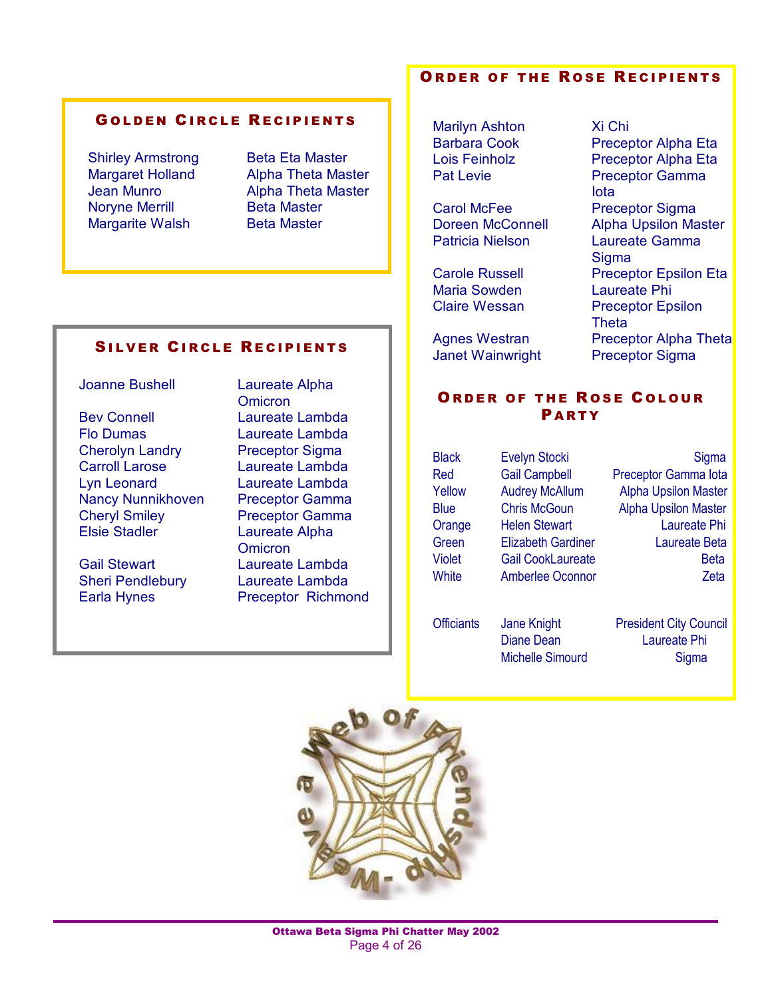#### GOLDEN CIRCLE RECIPIENTS

Shirley Armstrong Beta Eta Master Noryne Merrill Beta Master Margarite Walsh Beta Master

Margaret Holland Alpha Theta Master Jean Munro Alpha Theta Master

#### SILVER CIRCLE RECIPIENTS

Joanne Bushell Laureate Alpha

Bev Connell Laureate Lambda Flo Dumas Laureate Lambda Cherolyn Landry Preceptor Sigma Carroll Larose Laureate Lambda Lyn Leonard Laureate Lambda Nancy Nunnikhoven Preceptor Gamma Cheryl Smiley Preceptor Gamma Elsie Stadler Laureate Alpha

Earla Hynes Preceptor Richmond

**Omicron Omicron** Gail Stewart Laureate Lambda Sheri Pendlebury Laureate Lambda

#### ORDER OF THE ROSE RECIPIENTS

Marilyn Ashton Xi Chi

Patricia Nielson Laureate Gamma

Maria Sowden Laureate Phi

Janet Wainwright Preceptor Sigma

Barbara Cook Preceptor Alpha Eta Lois Feinholz Preceptor Alpha Eta Pat Levie **Preceptor Gamma** Iota Carol McFee Preceptor Sigma Doreen McConnell Alpha Upsilon Master **Sigma** Carole Russell Preceptor Epsilon Eta Claire Wessan Preceptor Epsilon Theta Agnes Westran Preceptor Alpha Theta

#### ORDER OF THE ROSE COLOUR **PARTY**

Black Evelyn Stocki Sigma Red Gail Campbell Preceptor Gamma Iota Yellow Audrey McAllum Alpha Upsilon Master Blue Chris McGoun Alpha Upsilon Master Orange Helen Stewart **Laureate Phi** Green Elizabeth Gardiner Laureate Beta Violet Gail CookLaureate **Beta** White Amberlee Oconnor Zeta

Officiants Jane Knight President City Council Diane Dean Laureate Phi Michelle Simourd Sigma

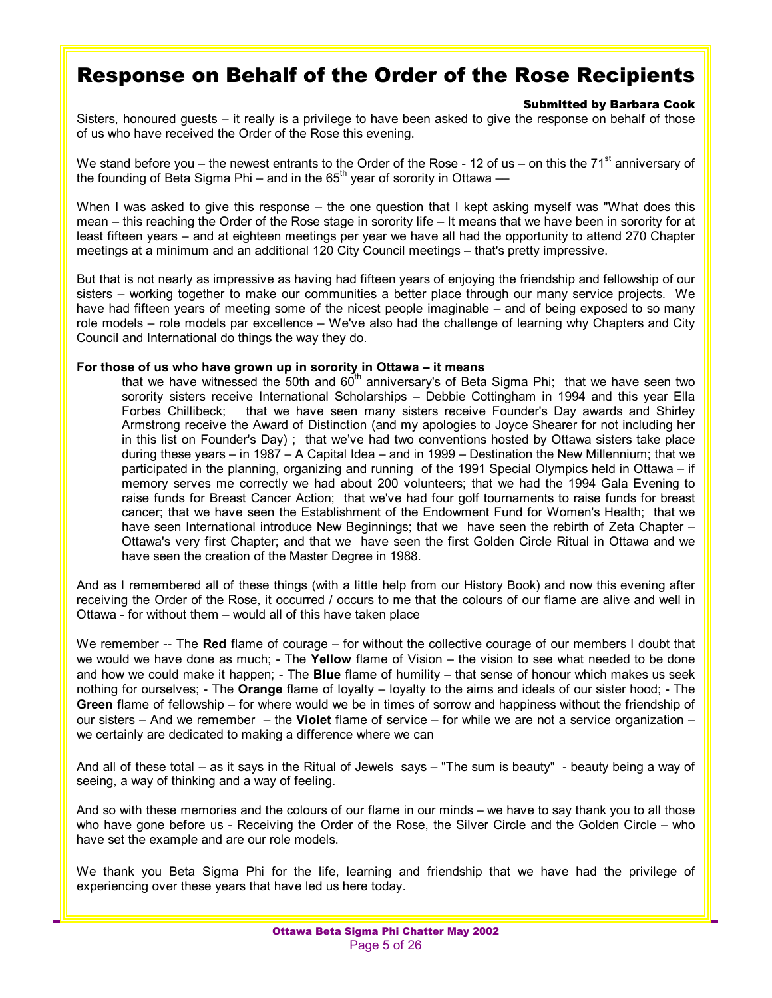### Response on Behalf of the Order of the Rose Recipients

#### Submitted by Barbara Cook

Sisters, honoured quests  $-$  it really is a privilege to have been asked to give the response on behalf of those of us who have received the Order of the Rose this evening.

We stand before you – the newest entrants to the Order of the Rose - 12 of us – on this the 71<sup>st</sup> anniversary of the founding of Beta Sigma Phi – and in the  $65<sup>th</sup>$  year of sorority in Ottawa —

When I was asked to give this response - the one question that I kept asking myself was "What does this mean – this reaching the Order of the Rose stage in sorority life – It means that we have been in sorority for at least fifteen years – and at eighteen meetings per year we have all had the opportunity to attend 270 Chapter meetings at a minimum and an additional 120 City Council meetings – that's pretty impressive.

But that is not nearly as impressive as having had fifteen years of enjoying the friendship and fellowship of our sisters – working together to make our communities a better place through our many service projects. We have had fifteen years of meeting some of the nicest people imaginable  $-$  and of being exposed to so many role models – role models par excellence – We've also had the challenge of learning why Chapters and City Council and International do things the way they do.

#### For those of us who have grown up in sorority in Ottawa - it means

that we have witnessed the 50th and  $60<sup>th</sup>$  anniversary's of Beta Sigma Phi; that we have seen two sorority sisters receive International Scholarships – Debbie Cottingham in 1994 and this year Ella Forbes Chillibeck; that we have seen many sisters receive Founder's Day awards and Shirley Armstrong receive the Award of Distinction (and my apologies to Joyce Shearer for not including her in this list on Founder's Day); that we've had two conventions hosted by Ottawa sisters take place during these years  $-$  in 1987  $-$  A Capital Idea  $-$  and in 1999  $-$  Destination the New Millennium; that we participated in the planning, organizing and running of the 1991 Special Olympics held in Ottawa  $-$  if memory serves me correctly we had about 200 volunteers; that we had the 1994 Gala Evening to raise funds for Breast Cancer Action; that we've had four golf tournaments to raise funds for breast cancer; that we have seen the Establishment of the Endowment Fund for Women's Health; that we have seen International introduce New Beginnings; that we have seen the rebirth of Zeta Chapter -Ottawa's very first Chapter; and that we have seen the first Golden Circle Ritual in Ottawa and we have seen the creation of the Master Degree in 1988.

And as I remembered all of these things (with a little help from our History Book) and now this evening after receiving the Order of the Rose, it occurred / occurs to me that the colours of our flame are alive and well in Ottawa - for without them  $-$  would all of this have taken place

We remember -- The Red flame of courage – for without the collective courage of our members I doubt that we would we have done as much; - The Yellow flame of Vision – the vision to see what needed to be done and how we could make it happen; - The **Blue** flame of humility – that sense of honour which makes us seek nothing for ourselves; - The **Orange** flame of loyalty – loyalty to the aims and ideals of our sister hood; - The **Green** flame of fellowship – for where would we be in times of sorrow and happiness without the friendship of our sisters – And we remember – the Violet flame of service – for while we are not a service organization – we certainly are dedicated to making a difference where we can

And all of these total  $-$  as it says in the Ritual of Jewels says  $-$  "The sum is beauty" - beauty being a way of seeing, a way of thinking and a way of feeling.

And so with these memories and the colours of our flame in our minds – we have to say thank you to all those who have gone before us - Receiving the Order of the Rose, the Silver Circle and the Golden Circle - who have set the example and are our role models.

We thank you Beta Sigma Phi for the life, learning and friendship that we have had the privilege of experiencing over these years that have led us here today.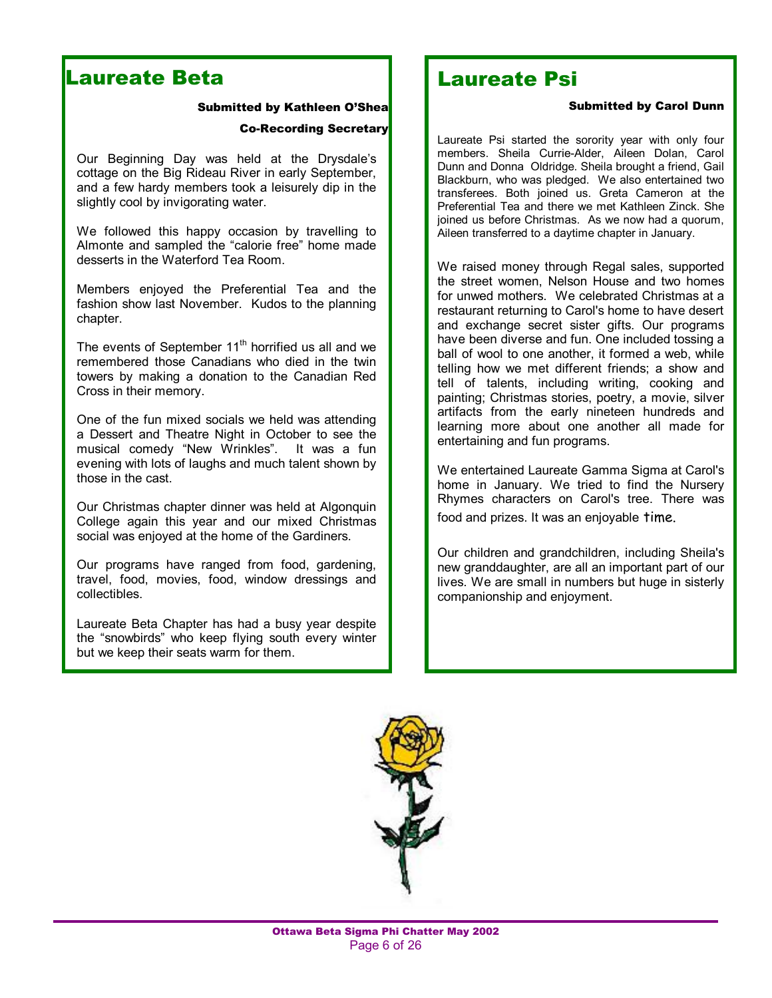### Laureate Beta

#### Submitted by Kathleen O'Shea

#### Co-Recording Secretary

Our Beginning Day was held at the Drysdale's cottage on the Big Rideau River in early September, and a few hardy members took a leisurely dip in the slightly cool by invigorating water.

We followed this happy occasion by travelling to Almonte and sampled the "calorie free" home made desserts in the Waterford Tea Room.

Members enjoyed the Preferential Tea and the fashion show last November. Kudos to the planning chapter.

The events of September  $11<sup>th</sup>$  horrified us all and we remembered those Canadians who died in the twin towers by making a donation to the Canadian Red Cross in their memory.

One of the fun mixed socials we held was attending a Dessert and Theatre Night in October to see the musical comedy "New Wrinkles". It was a fun evening with lots of laughs and much talent shown by those in the cast.

Our Christmas chapter dinner was held at Algonquin College again this year and our mixed Christmas social was enjoyed at the home of the Gardiners.

Our programs have ranged from food, gardening, travel, food, movies, food, window dressings and collectibles.

Laureate Beta Chapter has had a busy year despite the "snowbirds" who keep flying south every winter but we keep their seats warm for them.

### Laureate Psi

#### Submitted by Carol Dunn

Laureate Psi started the sorority year with only four members. Sheila Currie-Alder, Aileen Dolan, Carol Dunn and Donna Oldridge. Sheila brought a friend, Gail Blackburn, who was pledged. We also entertained two transferees. Both joined us. Greta Cameron at the Preferential Tea and there we met Kathleen Zinck. She joined us before Christmas. As we now had a quorum, Aileen transferred to a daytime chapter in January.

We raised money through Regal sales, supported the street women, Nelson House and two homes for unwed mothers. We celebrated Christmas at a restaurant returning to Carol's home to have desert and exchange secret sister gifts. Our programs have been diverse and fun. One included tossing a ball of wool to one another, it formed a web, while telling how we met different friends; a show and tell of talents, including writing, cooking and painting; Christmas stories, poetry, a movie, silver artifacts from the early nineteen hundreds and learning more about one another all made for entertaining and fun programs.

We entertained Laureate Gamma Sigma at Carol's home in January. We tried to find the Nursery Rhymes characters on Carol's tree. There was food and prizes. It was an enjoyable time.

Our children and grandchildren, including Sheila's new granddaughter, are all an important part of our lives. We are small in numbers but huge in sisterly companionship and enjoyment.

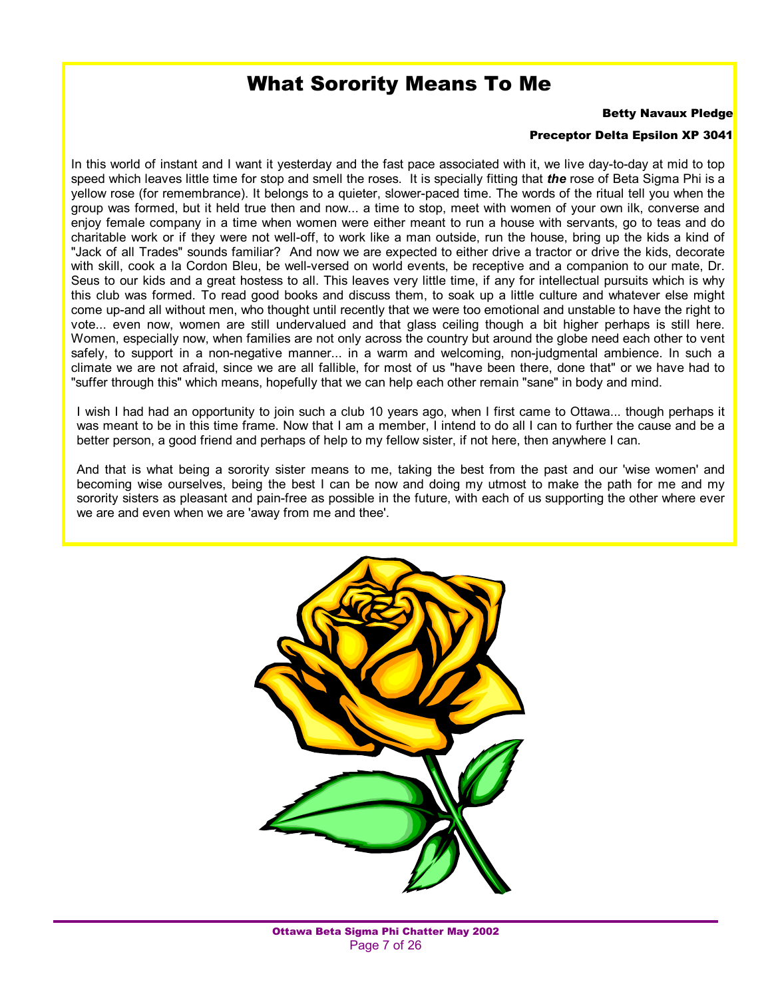### What Sorority Means To Me

#### Betty Navaux Pledge

#### Preceptor Delta Epsilon XP 3041

In this world of instant and I want it yesterday and the fast pace associated with it, we live day-to-day at mid to top speed which leaves little time for stop and smell the roses. It is specially fitting that *the* rose of Beta Sigma Phi is a yellow rose (for remembrance). It belongs to a quieter, slower-paced time. The words of the ritual tell you when the group was formed, but it held true then and now... a time to stop, meet with women of your own ilk, converse and enjoy female company in a time when women were either meant to run a house with servants, go to teas and do charitable work or if they were not well-off, to work like a man outside, run the house, bring up the kids a kind of "Jack of all Trades" sounds familiar? And now we are expected to either drive a tractor or drive the kids, decorate with skill, cook a la Cordon Bleu, be well-versed on world events, be receptive and a companion to our mate, Dr. Seus to our kids and a great hostess to all. This leaves very little time, if any for intellectual pursuits which is why this club was formed. To read good books and discuss them, to soak up a little culture and whatever else might come up-and all without men, who thought until recently that we were too emotional and unstable to have the right to vote... even now, women are still undervalued and that glass ceiling though a bit higher perhaps is still here. Women, especially now, when families are not only across the country but around the globe need each other to vent safely, to support in a non-negative manner... in a warm and welcoming, non-judgmental ambience. In such a climate we are not afraid, since we are all fallible, for most of us "have been there, done that" or we have had to "suffer through this" which means, hopefully that we can help each other remain "sane" in body and mind.

I wish I had had an opportunity to join such a club 10 years ago, when I first came to Ottawa... though perhaps it was meant to be in this time frame. Now that I am a member, I intend to do all I can to further the cause and be a better person, a good friend and perhaps of help to my fellow sister, if not here, then anywhere I can.

And that is what being a sorority sister means to me, taking the best from the past and our 'wise women' and becoming wise ourselves, being the best I can be now and doing my utmost to make the path for me and my sorority sisters as pleasant and pain-free as possible in the future, with each of us supporting the other where ever we are and even when we are 'away from me and thee'.

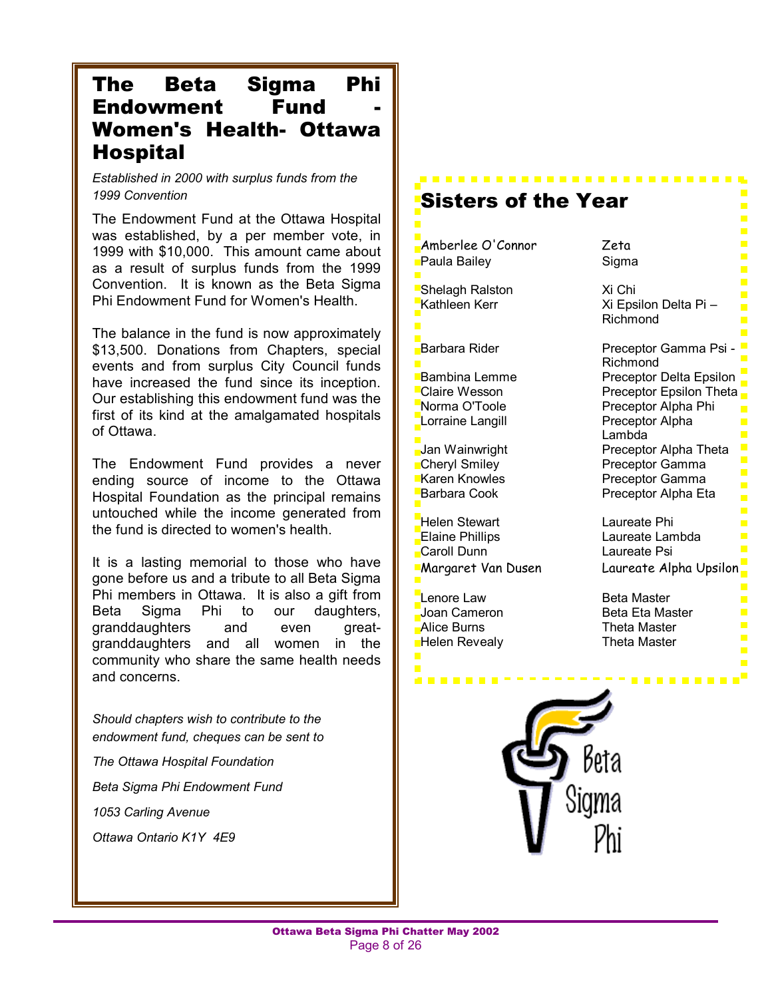### The Beta Sigma Phi Endowment Fund Women's Health- Ottawa Hospital

*Established in 2000 with surplus funds from the 1999 Convention* 

The Endowment Fund at the Ottawa Hospital was established, by a per member vote, in 1999 with \$10,000. This amount came about as a result of surplus funds from the 1999 Convention. It is known as the Beta Sigma Phi Endowment Fund for Women's Health.

The balance in the fund is now approximately \$13,500. Donations from Chapters, special events and from surplus City Council funds have increased the fund since its inception. Our establishing this endowment fund was the first of its kind at the amalgamated hospitals of Ottawa.

The Endowment Fund provides a never ending source of income to the Ottawa Hospital Foundation as the principal remains untouched while the income generated from the fund is directed to women's health.

It is a lasting memorial to those who have gone before us and a tribute to all Beta Sigma Phi members in Ottawa. It is also a gift from Beta Sigma Phi to our daughters, granddaughters and even greatgranddaughters and all women in the community who share the same health needs and concerns.

*Should chapters wish to contribute to the endowment fund, cheques can be sent to* 

*The Ottawa Hospital Foundation* 

*Beta Sigma Phi Endowment Fund* 

*1053 Carling Avenue* 

*Ottawa Ontario K1Y 4E9* 

Sisters of the Year Amberlee O'Connor Zeta Paula Bailey **Sigma** Shelagh Ralston Xi Chi  $Xi$  Epsilon Delta Pi – Richmond Barbara Rider **Preceptor Gamma Psi** -Richmond Bambina Lemme Preceptor Delta Epsilon Claire Wesson **Preceptor Epsilon Theta** Norma O'Toole **Preceptor Alpha Phi** Lorraine Langill **Preceptor Alpha** Lambda Jan Wainwright **Preceptor Alpha Theta**<br> **Cheryl Smiley Preceptor Gamma Cheryl Smiley Cheryl Smiles Cheryl Smiles Are Act Of Preceptor Gamma**<br>Preceptor Gamma Preceptor Gamma Barbara Cook Preceptor Alpha Eta Helen Stewart Laureate Phi Elaine Phillips **Laureate Lambda** Caroll Dunn Laureate Psi Margaret Van Dusen Laureate Alpha Upsilon Lenore Law Beta Master Joan Cameron Beta Eta Master **Alice Burns Theta Master** Helen Revealy **Theta Master** . . . . . .

. **. . . . . . . . . . . . . . . . .** .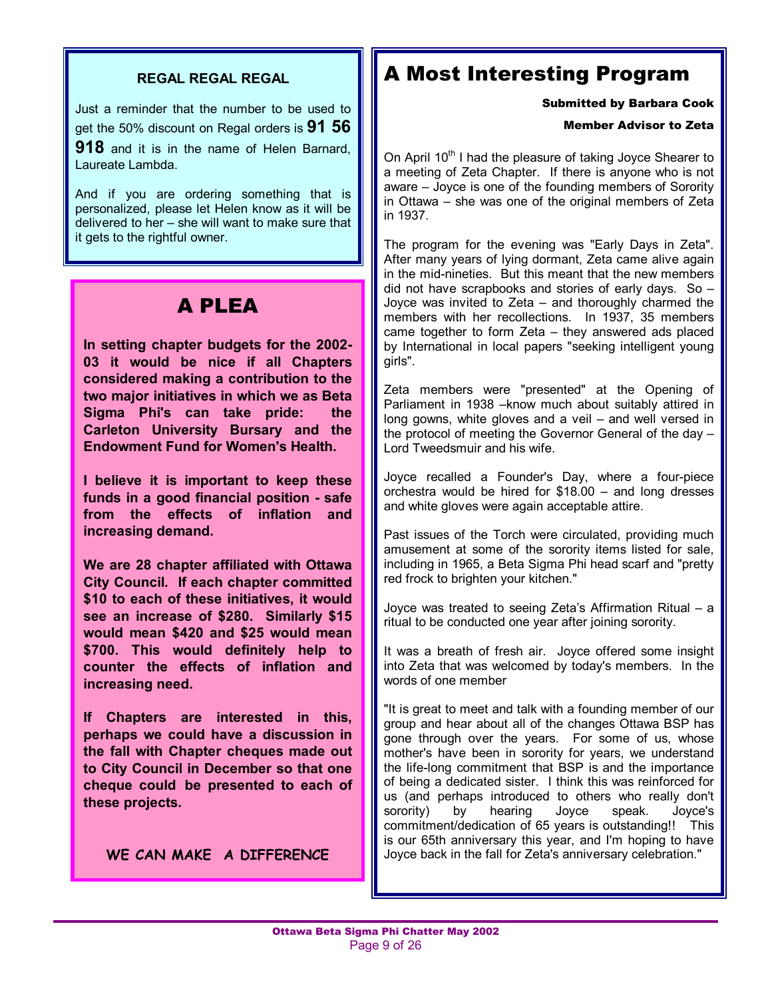#### **REGAL REGAL REGAL**

Just a reminder that the number to be used to get the 50% discount on Regal orders is **91 56** 

**918** and it is in the name of Helen Barnard, Laureate Lambda.

And if you are ordering something that is personalized, please let Helen know as it will be delivered to her  $-$  she will want to make sure that it gets to the rightful owner.

### A PLEA

**In setting chapter budgets for the 2002- 03 it would be nice if all Chapters considered making a contribution to the two major initiatives in which we as Beta Sigma Phi's can take pride: the Carleton University Bursary and the Endowment Fund for Women's Health.** 

**I believe it is important to keep these funds in a good financial position - safe from the effects of inflation and increasing demand.** 

**We are 28 chapter affiliated with Ottawa City Council. If each chapter committed \$10 to each of these initiatives, it would see an increase of \$280. Similarly \$15 would mean \$420 and \$25 would mean \$700. This would definitely help to counter the effects of inflation and increasing need.** 

**If Chapters are interested in this, perhaps we could have a discussion in the fall with Chapter cheques made out to City Council in December so that one cheque could be presented to each of these projects.** 

**WE CAN MAKE A DIFFERENCE** 

### A Most Interesting Program

Submitted by Barbara Cook

#### Member Advisor to Zeta

On April 10<sup>th</sup> I had the pleasure of taking Joyce Shearer to a meeting of Zeta Chapter. If there is anyone who is not aware – Joyce is one of the founding members of Sorority in Ottawa  $-$  she was one of the original members of Zeta in 1937.

The program for the evening was "Early Days in Zeta". After many years of lying dormant, Zeta came alive again in the mid-nineties. But this meant that the new members did not have scrapbooks and stories of early days. So  $-$ Joyce was invited to Zeta  $-$  and thoroughly charmed the members with her recollections. In 1937, 35 members came together to form  $Zeta -$  they answered ads placed by International in local papers "seeking intelligent young girls".

Zeta members were "presented" at the Opening of Parliament in 1938 – know much about suitably attired in long gowns, white gloves and a veil  $-$  and well versed in the protocol of meeting the Governor General of the day  $-$ Lord Tweedsmuir and his wife.

Joyce recalled a Founder's Day, where a four-piece orchestra would be hired for  $$18.00 -$  and long dresses and white gloves were again acceptable attire.

Past issues of the Torch were circulated, providing much amusement at some of the sorority items listed for sale, including in 1965, a Beta Sigma Phi head scarf and "pretty red frock to brighten your kitchen."

Joyce was treated to seeing Zeta's Affirmation Ritual  $-$  a ritual to be conducted one year after joining sorority.

It was a breath of fresh air. Joyce offered some insight into Zeta that was welcomed by today's members. In the words of one member

"It is great to meet and talk with a founding member of our group and hear about all of the changes Ottawa BSP has gone through over the years. For some of us, whose mother's have been in sorority for years, we understand the life-long commitment that BSP is and the importance of being a dedicated sister. I think this was reinforced for us (and perhaps introduced to others who really don't sorority) by hearing Joyce speak. Joyce's commitment/dedication of 65 years is outstanding!! This is our 65th anniversary this year, and I'm hoping to have Joyce back in the fall for Zeta's anniversary celebration."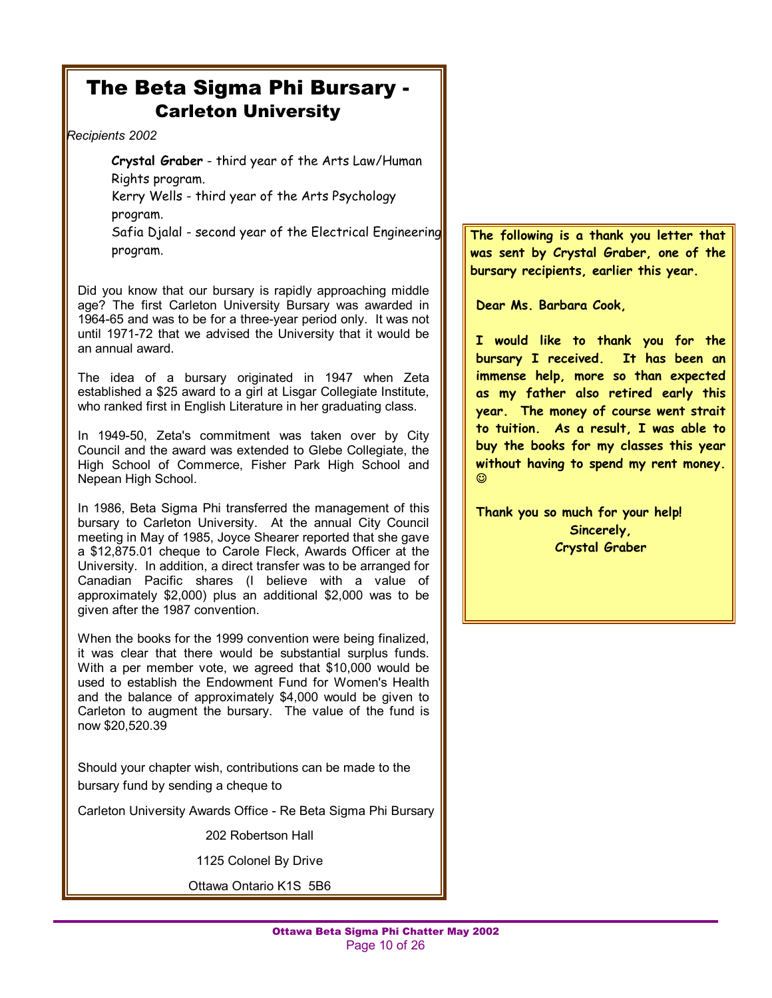### The Beta Sigma Phi Bursary - Carleton University

*Recipients 2002* 

**Crystal Graber** - third year of the Arts Law/Human Rights program. Kerry Wells - third year of the Arts Psychology program. Safia Djalal - second year of the Electrical Engineering

program.

Did you know that our bursary is rapidly approaching middle age? The first Carleton University Bursary was awarded in 1964-65 and was to be for a three-year period only. It was not until 1971-72 that we advised the University that it would be an annual award.

The idea of a bursary originated in 1947 when Zeta established a \$25 award to a girl at Lisgar Collegiate Institute, who ranked first in English Literature in her graduating class.

In 1949-50, Zeta's commitment was taken over by City Council and the award was extended to Glebe Collegiate, the High School of Commerce, Fisher Park High School and Nepean High School.

In 1986, Beta Sigma Phi transferred the management of this bursary to Carleton University. At the annual City Council meeting in May of 1985, Joyce Shearer reported that she gave a \$12,875.01 cheque to Carole Fleck, Awards Officer at the University. In addition, a direct transfer was to be arranged for Canadian Pacific shares (I believe with a value of approximately \$2,000) plus an additional \$2,000 was to be given after the 1987 convention.

When the books for the 1999 convention were being finalized, it was clear that there would be substantial surplus funds. With a per member vote, we agreed that \$10,000 would be used to establish the Endowment Fund for Women's Health and the balance of approximately \$4,000 would be given to Carleton to augment the bursary. The value of the fund is now \$20,520.39

Should your chapter wish, contributions can be made to the bursary fund by sending a cheque to

Carleton University Awards Office - Re Beta Sigma Phi Bursary

202 Robertson Hall

1125 Colonel By Drive

Ottawa Ontario K1S 5B6

**The following is a thank you letter that was sent by Crystal Graber, one of the bursary recipients, earlier this year.** 

**Dear Ms. Barbara Cook,** 

**I would like to thank you for the bursary I received. It has been an immense help, more so than expected as my father also retired early this year. The money of course went strait to tuition. As a result, I was able to buy the books for my classes this year without having to spend my rent money.**   $_{\tiny \odot}$ 

**Thank you so much for your help! Sincerely, Crystal Graber**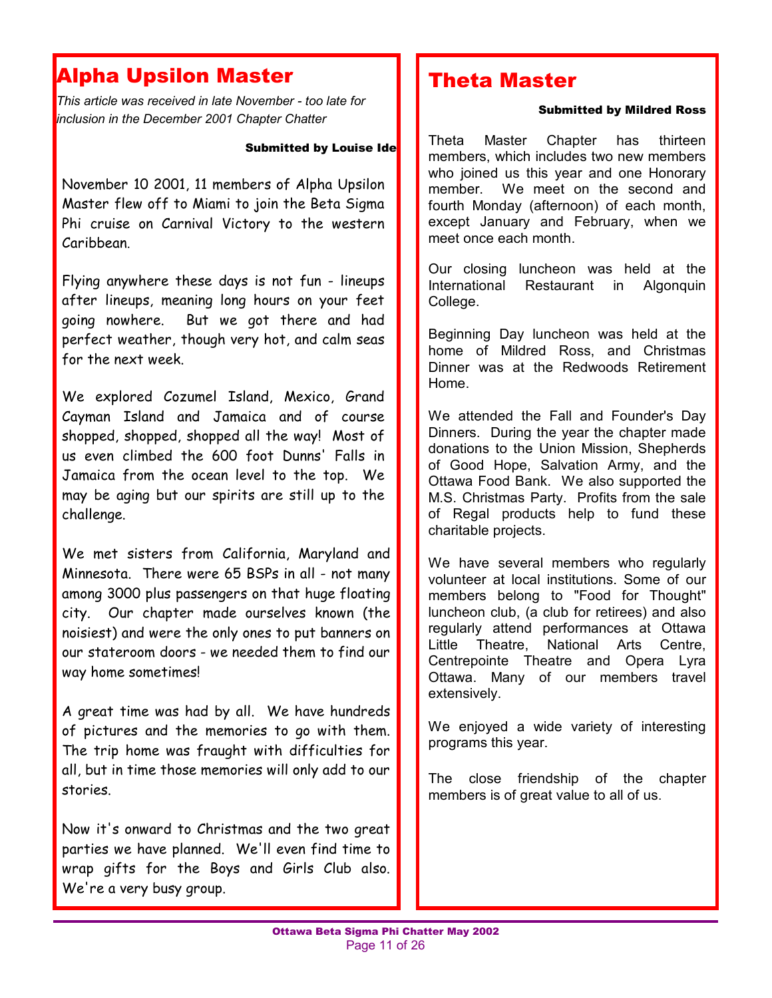#### Г Alpha Upsilon Master

*This article was received in late November - too late for inclusion in the December 2001 Chapter Chatter* 

#### Submitted by Louise Ide

November 10 2001, 11 members of Alpha Upsilon Master flew off to Miami to join the Beta Sigma Phi cruise on Carnival Victory to the western Caribbean.

Flying anywhere these days is not fun - lineups after lineups, meaning long hours on your feet going nowhere. But we got there and had perfect weather, though very hot, and calm seas for the next week.

We explored Cozumel Island, Mexico, Grand Cayman Island and Jamaica and of course shopped, shopped, shopped all the way! Most of us even climbed the 600 foot Dunns' Falls in Jamaica from the ocean level to the top. We may be aging but our spirits are still up to the challenge.

We met sisters from California, Maryland and Minnesota. There were 65 BSPs in all - not many among 3000 plus passengers on that huge floating city. Our chapter made ourselves known (the noisiest) and were the only ones to put banners on our stateroom doors - we needed them to find our way home sometimes!

A great time was had by all. We have hundreds of pictures and the memories to go with them. The trip home was fraught with difficulties for all, but in time those memories will only add to our stories.

Now it's onward to Christmas and the two great parties we have planned. We'll even find time to wrap gifts for the Boys and Girls Club also. We're a very busy group.

### Theta Master

#### Submitted by Mildred Ross

Theta Master Chapter has thirteen members, which includes two new members who joined us this year and one Honorary member. We meet on the second and fourth Monday (afternoon) of each month, except January and February, when we meet once each month.

Our closing luncheon was held at the International Restaurant in Algonquin College.

Beginning Day luncheon was held at the home of Mildred Ross, and Christmas Dinner was at the Redwoods Retirement Home.

We attended the Fall and Founder's Day Dinners. During the year the chapter made donations to the Union Mission, Shepherds of Good Hope, Salvation Army, and the Ottawa Food Bank. We also supported the M.S. Christmas Party. Profits from the sale of Regal products help to fund these charitable projects.

We have several members who regularly volunteer at local institutions. Some of our members belong to "Food for Thought" luncheon club, (a club for retirees) and also regularly attend performances at Ottawa Little Theatre, National Arts Centre, Centrepointe Theatre and Opera Lyra Ottawa. Many of our members travel extensively.

We enjoyed a wide variety of interesting programs this year.

The close friendship of the chapter members is of great value to all of us.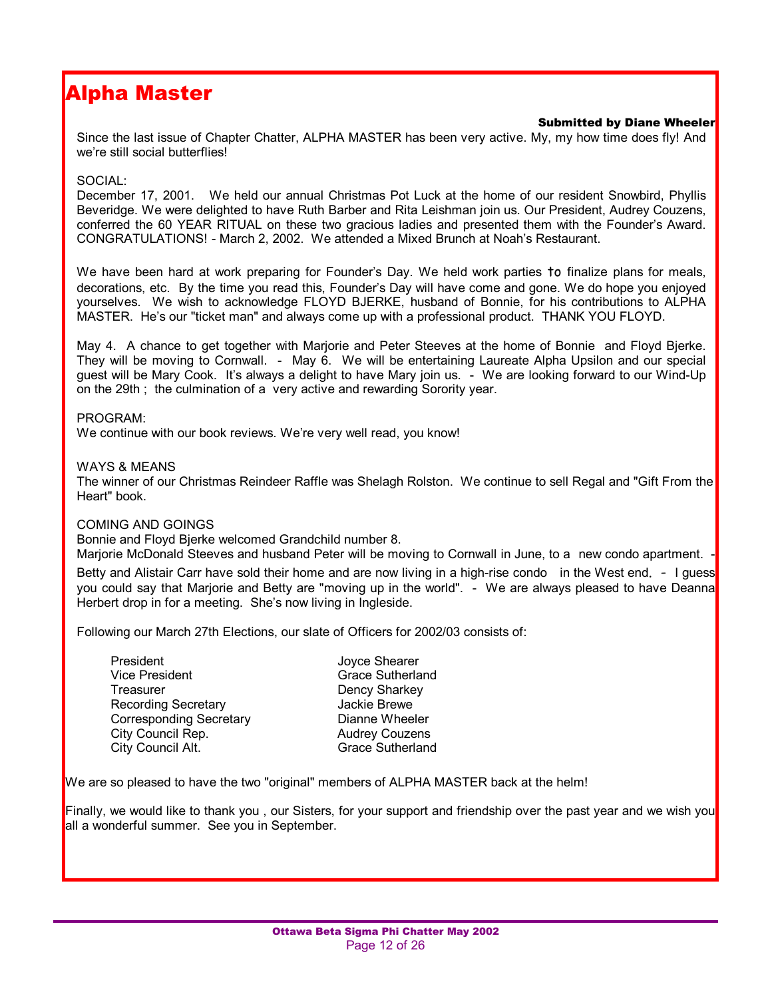### Alpha Master

#### Submitted by Diane Wheeler

Since the last issue of Chapter Chatter, ALPHA MASTER has been very active. My, my how time does fly! And we're still social butterflies!

#### SOCIAL:

December 17, 2001. We held our annual Christmas Pot Luck at the home of our resident Snowbird, Phyllis Beveridge. We were delighted to have Ruth Barber and Rita Leishman join us. Our President, Audrey Couzens, conferred the 60 YEAR RITUAL on these two gracious ladies and presented them with the Founderís Award. CONGRATULATIONS! - March 2, 2002. We attended a Mixed Brunch at Noahís Restaurant.

We have been hard at work preparing for Founder's Day. We held work parties to finalize plans for meals, decorations, etc. By the time you read this, Founder's Day will have come and gone. We do hope you enjoyed yourselves. We wish to acknowledge FLOYD BJERKE, husband of Bonnie, for his contributions to ALPHA MASTER. Heís our "ticket man" and always come up with a professional product. THANK YOU FLOYD.

May 4. A chance to get together with Marjorie and Peter Steeves at the home of Bonnie and Floyd Bjerke. They will be moving to Cornwall. - May 6. We will be entertaining Laureate Alpha Upsilon and our special guest will be Mary Cook. Itís always a delight to have Mary join us. - We are looking forward to our Wind-Up on the 29th ; the culmination of a very active and rewarding Sorority year.

#### PROGRAM:

We continue with our book reviews. We're very well read, you know!

#### WAYS & MEANS

The winner of our Christmas Reindeer Raffle was Shelagh Rolston. We continue to sell Regal and "Gift From the Heart" book.

#### COMING AND GOINGS

Bonnie and Floyd Bjerke welcomed Grandchild number 8.

Marjorie McDonald Steeves and husband Peter will be moving to Cornwall in June, to a new condo apartment.

Betty and Alistair Carr have sold their home and are now living in a high-rise condo in the West end. - I guess you could say that Marjorie and Betty are "moving up in the world". - We are always pleased to have Deanna Herbert drop in for a meeting. She's now living in Ingleside.

Following our March 27th Elections, our slate of Officers for 2002/03 consists of:

| President                      | Joyce Shearer           |
|--------------------------------|-------------------------|
| <b>Vice President</b>          | <b>Grace Sutherland</b> |
| Treasurer                      | Dency Sharkey           |
| <b>Recording Secretary</b>     | Jackie Brewe            |
| <b>Corresponding Secretary</b> | Dianne Wheeler          |
| City Council Rep.              | <b>Audrey Couzens</b>   |
| City Council Alt.              | <b>Grace Sutherland</b> |

We are so pleased to have the two "original" members of ALPHA MASTER back at the helm!

Finally, we would like to thank you, our Sisters, for your support and friendship over the past year and we wish you all a wonderful summer. See you in September.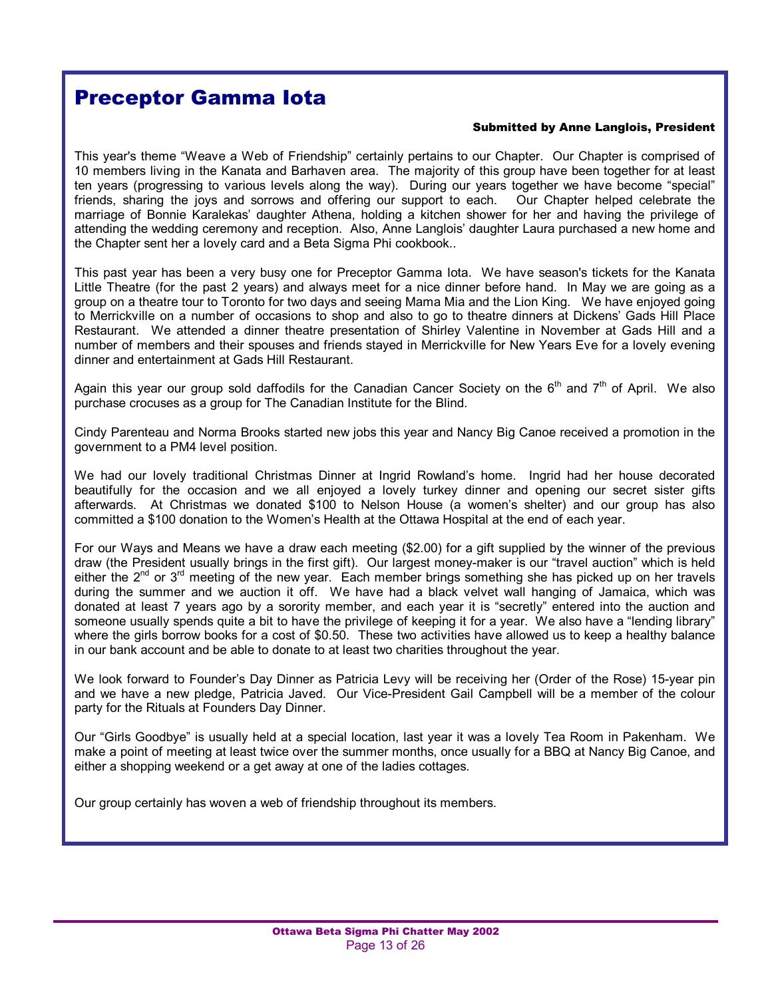### Preceptor Gamma Iota

#### Submitted by Anne Langlois, President

This year's theme "Weave a Web of Friendship" certainly pertains to our Chapter. Our Chapter is comprised of 10 members living in the Kanata and Barhaven area. The majority of this group have been together for at least ten years (progressing to various levels along the way). During our years together we have become "special" friends, sharing the joys and sorrows and offering our support to each. Our Chapter helped celebrate the marriage of Bonnie Karalekasí daughter Athena, holding a kitchen shower for her and having the privilege of attending the wedding ceremony and reception. Also, Anne Langlois' daughter Laura purchased a new home and the Chapter sent her a lovely card and a Beta Sigma Phi cookbook..

This past year has been a very busy one for Preceptor Gamma Iota. We have season's tickets for the Kanata Little Theatre (for the past 2 years) and always meet for a nice dinner before hand. In May we are going as a group on a theatre tour to Toronto for two days and seeing Mama Mia and the Lion King. We have enjoyed going to Merrickville on a number of occasions to shop and also to go to theatre dinners at Dickensí Gads Hill Place Restaurant. We attended a dinner theatre presentation of Shirley Valentine in November at Gads Hill and a number of members and their spouses and friends stayed in Merrickville for New Years Eve for a lovely evening dinner and entertainment at Gads Hill Restaurant.

Again this year our group sold daffodils for the Canadian Cancer Society on the  $6<sup>th</sup>$  and  $7<sup>th</sup>$  of April. We also purchase crocuses as a group for The Canadian Institute for the Blind.

Cindy Parenteau and Norma Brooks started new jobs this year and Nancy Big Canoe received a promotion in the government to a PM4 level position.

We had our lovely traditional Christmas Dinner at Ingrid Rowlandís home. Ingrid had her house decorated beautifully for the occasion and we all enjoyed a lovely turkey dinner and opening our secret sister gifts afterwards. At Christmas we donated \$100 to Nelson House (a womenís shelter) and our group has also committed a \$100 donation to the Women's Health at the Ottawa Hospital at the end of each year.

For our Ways and Means we have a draw each meeting (\$2.00) for a gift supplied by the winner of the previous draw (the President usually brings in the first gift). Our largest money-maker is our "travel auction" which is held either the  $2^{nd}$  or  $3^{rd}$  meeting of the new year. Each member brings something she has picked up on her travels during the summer and we auction it off. We have had a black velvet wall hanging of Jamaica, which was donated at least 7 years ago by a sorority member, and each year it is "secretly" entered into the auction and someone usually spends quite a bit to have the privilege of keeping it for a year. We also have a "lending library" where the girls borrow books for a cost of \$0.50. These two activities have allowed us to keep a healthy balance in our bank account and be able to donate to at least two charities throughout the year.

We look forward to Founderís Day Dinner as Patricia Levy will be receiving her (Order of the Rose) 15-year pin and we have a new pledge, Patricia Javed. Our Vice-President Gail Campbell will be a member of the colour party for the Rituals at Founders Day Dinner.

Our "Girls Goodbye" is usually held at a special location, last year it was a lovely Tea Room in Pakenham. We make a point of meeting at least twice over the summer months, once usually for a BBQ at Nancy Big Canoe, and either a shopping weekend or a get away at one of the ladies cottages.

Our group certainly has woven a web of friendship throughout its members.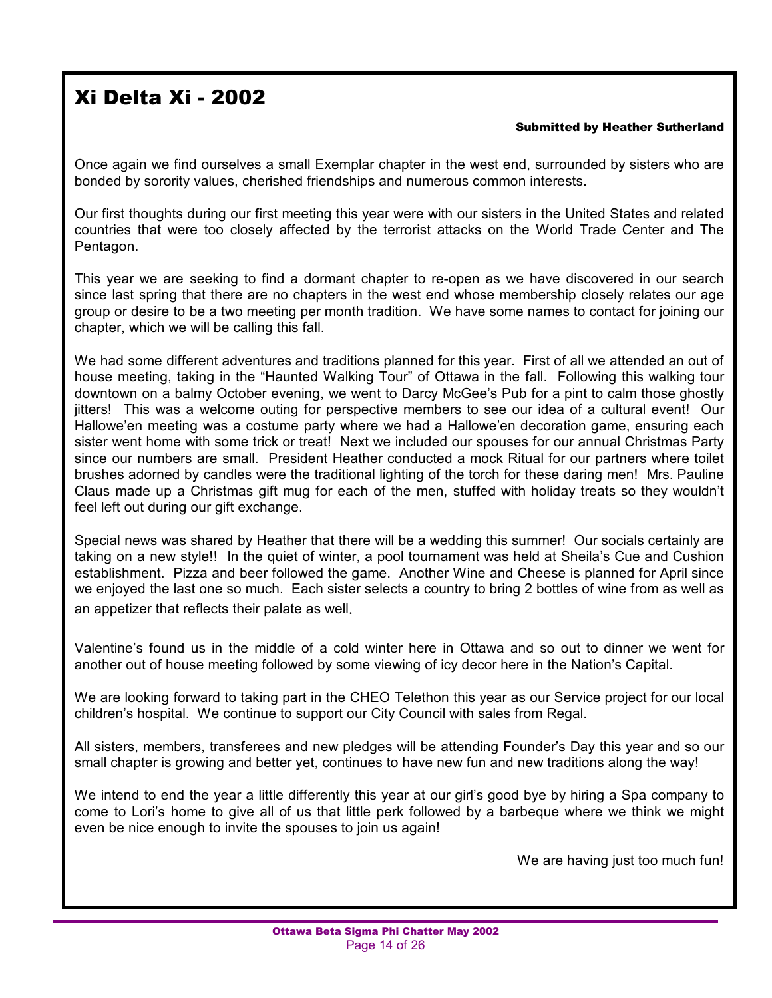### Xi Delta Xi - 2002

#### Submitted by Heather Sutherland

Once again we find ourselves a small Exemplar chapter in the west end, surrounded by sisters who are bonded by sorority values, cherished friendships and numerous common interests.

Our first thoughts during our first meeting this year were with our sisters in the United States and related countries that were too closely affected by the terrorist attacks on the World Trade Center and The Pentagon.

This year we are seeking to find a dormant chapter to re-open as we have discovered in our search since last spring that there are no chapters in the west end whose membership closely relates our age group or desire to be a two meeting per month tradition. We have some names to contact for joining our chapter, which we will be calling this fall.

We had some different adventures and traditions planned for this year. First of all we attended an out of house meeting, taking in the "Haunted Walking Tour" of Ottawa in the fall. Following this walking tour downtown on a balmy October evening, we went to Darcy McGee's Pub for a pint to calm those ghostly jitters! This was a welcome outing for perspective members to see our idea of a cultural event! Our Hallowe'en meeting was a costume party where we had a Hallowe'en decoration game, ensuring each sister went home with some trick or treat! Next we included our spouses for our annual Christmas Party since our numbers are small. President Heather conducted a mock Ritual for our partners where toilet brushes adorned by candles were the traditional lighting of the torch for these daring men! Mrs. Pauline Claus made up a Christmas gift mug for each of the men, stuffed with holiday treats so they wouldn't feel left out during our gift exchange.

Special news was shared by Heather that there will be a wedding this summer! Our socials certainly are taking on a new style!! In the quiet of winter, a pool tournament was held at Sheila's Cue and Cushion establishment. Pizza and beer followed the game. Another Wine and Cheese is planned for April since we enjoyed the last one so much. Each sister selects a country to bring 2 bottles of wine from as well as an appetizer that reflects their palate as well.

Valentineís found us in the middle of a cold winter here in Ottawa and so out to dinner we went for another out of house meeting followed by some viewing of icy decor here in the Nation's Capital.

We are looking forward to taking part in the CHEO Telethon this year as our Service project for our local children's hospital. We continue to support our City Council with sales from Regal.

All sisters, members, transferees and new pledges will be attending Founderís Day this year and so our small chapter is growing and better yet, continues to have new fun and new traditions along the way!

We intend to end the year a little differently this year at our girl's good bye by hiring a Spa company to come to Loriís home to give all of us that little perk followed by a barbeque where we think we might even be nice enough to invite the spouses to join us again!

We are having just too much fun!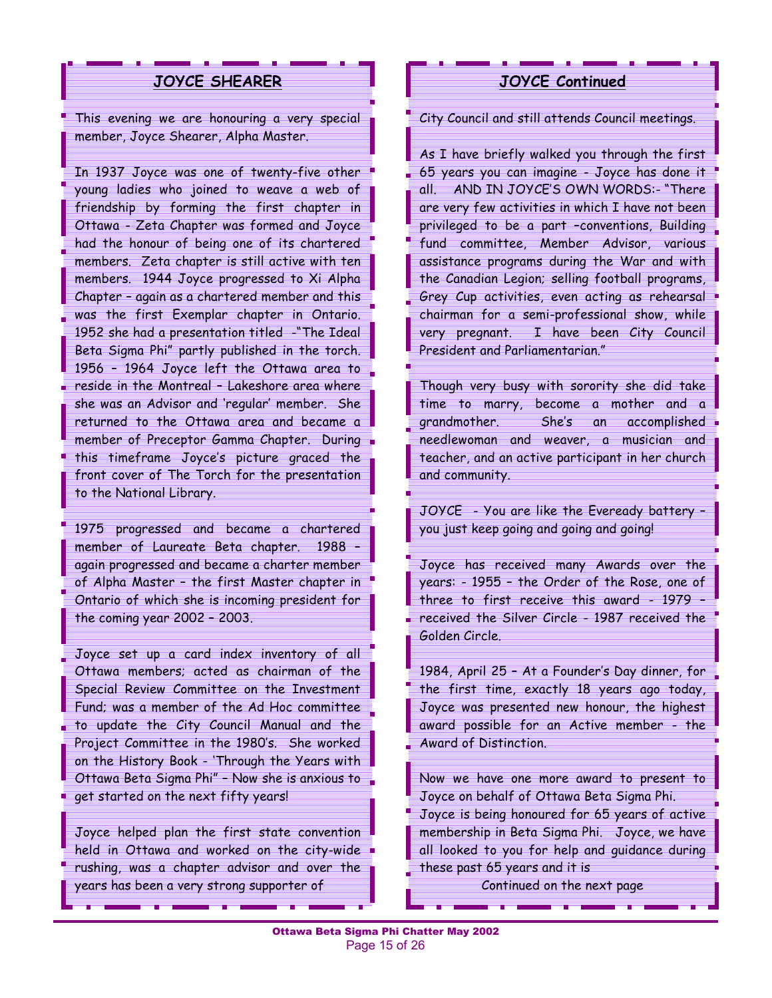#### **JOYCE SHEARER**

This evening we are honouring a very special member, Joyce Shearer, Alpha Master.

In 1937 Joyce was one of twenty-five other young ladies who joined to weave a web of friendship by forming the first chapter in Ottawa - Zeta Chapter was formed and Joyce had the honour of being one of its chartered members. Zeta chapter is still active with ten members. 1944 Joyce progressed to Xi Alpha Chapter  $-$  again as a chartered member and this was the first Exemplar chapter in Ontario. 1952 she had a presentation titled -"The Ideal Beta Sigma Phi" partly published in the torch. 1956 - 1964 Joyce left the Ottawa area to reside in the Montreal - Lakeshore area where she was an Advisor and 'regular' member. She returned to the Ottawa area and became a member of Preceptor Gamma Chapter. During this timeframe Joyceís picture graced the front cover of The Torch for the presentation to the National Library.

1975 progressed and became a chartered member of Laureate Beta chapter. 1988 again progressed and became a charter member of Alpha Master - the first Master chapter in Ontario of which she is incoming president for the coming year  $2002 - 2003$ .

Joyce set up a card index inventory of all Ottawa members; acted as chairman of the Special Review Committee on the Investment Fund; was a member of the Ad Hoc committee to update the City Council Manual and the Project Committee in the 1980's. She worked on the History Book - 'Through the Years with Ottawa Beta Sigma Phi" - Now she is anxious to get started on the next fifty years!

Joyce helped plan the first state convention held in Ottawa and worked on the city-wide rushing, was a chapter advisor and over the years has been a very strong supporter of

#### **JOYCE Continued**

City Council and still attends Council meetings.

As I have briefly walked you through the first 65 years you can imagine - Joyce has done it all. AND IN JOYCF'S OWN WORDS:- "There are very few activities in which I have not been privileged to be a part -conventions, Building fund committee, Member Advisor, various assistance programs during the War and with the Canadian Legion; selling football programs, Grey Cup activities, even acting as rehearsal chairman for a semi-professional show, while very pregnant. I have been City Council President and Parliamentarian.<sup>"</sup>

Though very busy with sorority she did take time to marry, become a mother and a grandmother. Sheís an accomplished needlewoman and weaver, a musician and teacher, and an active participant in her church and community.

JOYCE - You are like the Eveready battery you just keep going and going and going!

Joyce has received many Awards over the years: - 1955 - the Order of the Rose, one of three to first receive this award  $-1979$   $$ received the Silver Circle - 1987 received the Golden Circle.

1984, April 25  $-$  At a Founder's Day dinner, for the first time, exactly 18 years ago today, Joyce was presented new honour, the highest award possible for an Active member - the Award of Distinction.

Now we have one more award to present to Joyce on behalf of Ottawa Beta Sigma Phi. Joyce is being honoured for 65 years of active membership in Beta Sigma Phi. Joyce, we have all looked to you for help and guidance during these past 65 years and it is

Continued on the next page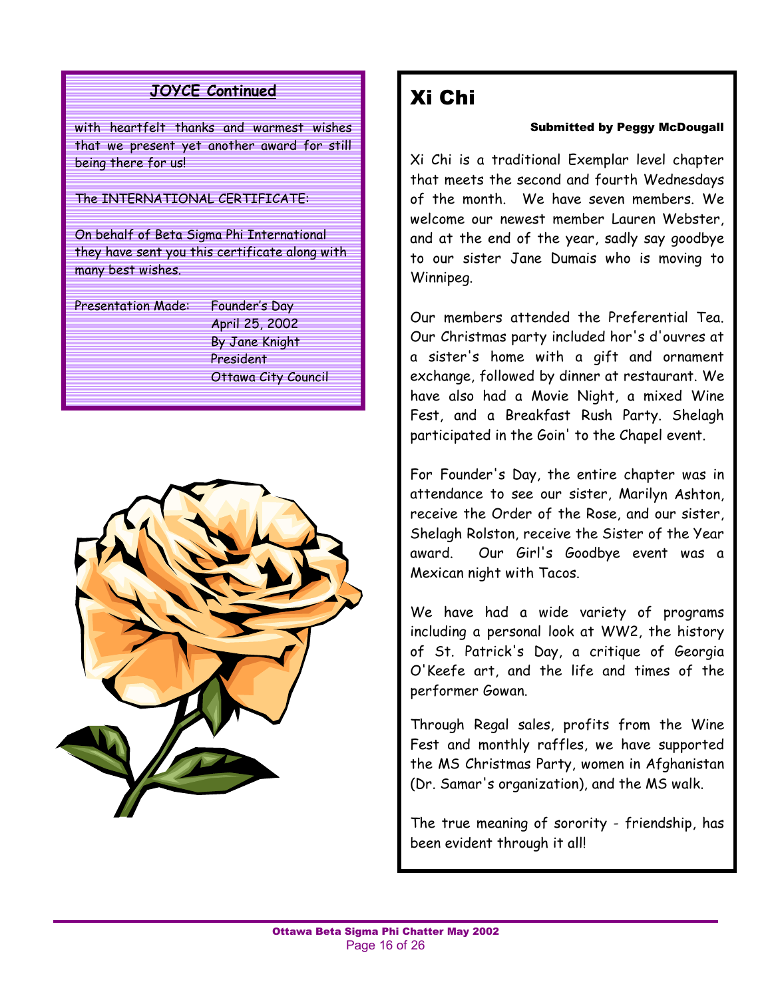### **JOYCE Continued**

with heartfelt thanks and warmest wishes that we present yet another award for still being there for us!

#### The INTERNATIONAL CERTIFICATE:

On behalf of Beta Sigma Phi International they have sent you this certificate along with many best wishes.

Presentation Made: Founder's Day

April 25, 2002 By Jane Knight President Ottawa City Council



### Xi Chi

#### Submitted by Peggy McDougall

Xi Chi is a traditional Exemplar level chapter that meets the second and fourth Wednesdays of the month. We have seven members. We welcome our newest member Lauren Webster, and at the end of the year, sadly say goodbye to our sister Jane Dumais who is moving to Winnipeg.

Our members attended the Preferential Tea. Our Christmas party included hor's d'ouvres at a sister's home with a gift and ornament exchange, followed by dinner at restaurant. We have also had a Movie Night, a mixed Wine Fest, and a Breakfast Rush Party. Shelagh participated in the Goin' to the Chapel event.

For Founder's Day, the entire chapter was in attendance to see our sister, Marilyn Ashton, receive the Order of the Rose, and our sister, Shelagh Rolston, receive the Sister of the Year award. Our Girl's Goodbye event was a Mexican night with Tacos.

We have had a wide variety of programs including a personal look at WW2, the history of St. Patrick's Day, a critique of Georgia O'Keefe art, and the life and times of the performer Gowan.

Through Regal sales, profits from the Wine Fest and monthly raffles, we have supported the MS Christmas Party, women in Afghanistan (Dr. Samar's organization), and the MS walk.

The true meaning of sorority - friendship, has been evident through it all!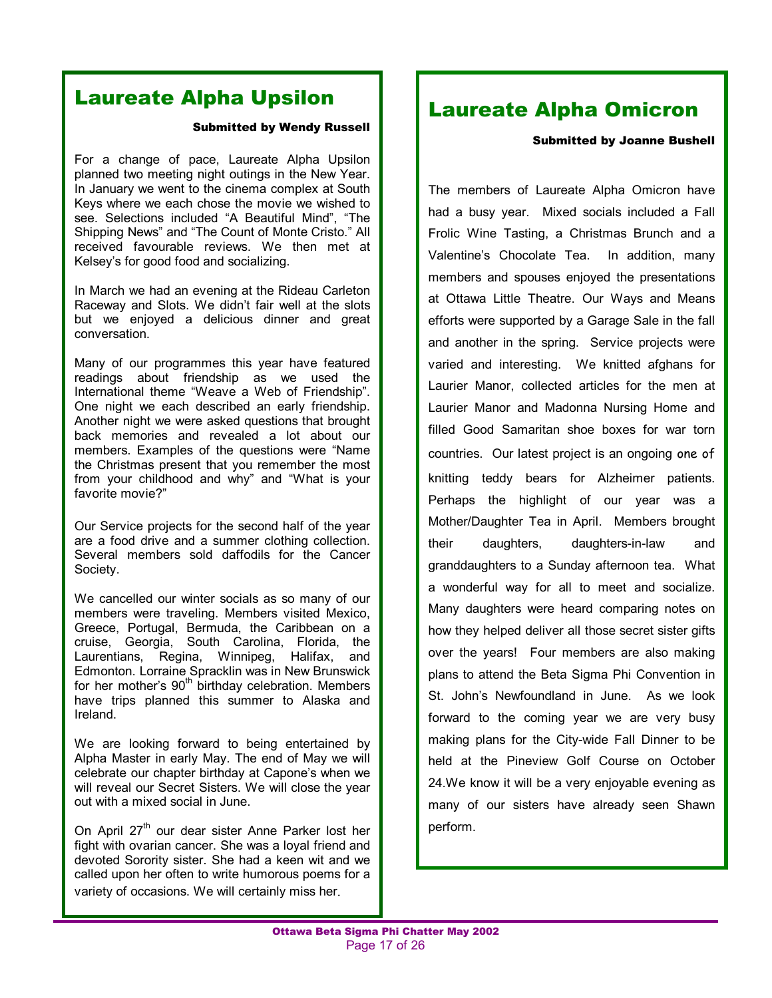### Laureate Alpha Upsilon

#### Submitted by Wendy Russell

For a change of pace, Laureate Alpha Upsilon planned two meeting night outings in the New Year. In January we went to the cinema complex at South Keys where we each chose the movie we wished to see. Selections included "A Beautiful Mind", "The Shipping News" and "The Count of Monte Cristo." All received favourable reviews. We then met at Kelsey's for good food and socializing.

In March we had an evening at the Rideau Carleton Raceway and Slots. We didn't fair well at the slots but we enjoyed a delicious dinner and great conversation.

Many of our programmes this year have featured readings about friendship as we used the International theme "Weave a Web of Friendship". One night we each described an early friendship. Another night we were asked questions that brought back memories and revealed a lot about our members. Examples of the questions were "Name" the Christmas present that you remember the most from your childhood and why" and "What is your favorite movie?"

Our Service projects for the second half of the year are a food drive and a summer clothing collection. Several members sold daffodils for the Cancer Society.

We cancelled our winter socials as so many of our members were traveling. Members visited Mexico, Greece, Portugal, Bermuda, the Caribbean on a cruise, Georgia, South Carolina, Florida, the Laurentians, Regina, Winnipeg, Halifax, and Edmonton. Lorraine Spracklin was in New Brunswick for her mother's 90<sup>th</sup> birthday celebration. Members have trips planned this summer to Alaska and Ireland.

We are looking forward to being entertained by Alpha Master in early May. The end of May we will celebrate our chapter birthday at Capone's when we will reveal our Secret Sisters. We will close the year out with a mixed social in June.

On April  $27<sup>th</sup>$  our dear sister Anne Parker lost her fight with ovarian cancer. She was a loyal friend and devoted Sorority sister. She had a keen wit and we called upon her often to write humorous poems for a variety of occasions. We will certainly miss her.

### Laureate Alpha Omicron

#### Submitted by Joanne Bushell

The members of Laureate Alpha Omicron have had a busy year. Mixed socials included a Fall Frolic Wine Tasting, a Christmas Brunch and a Valentineís Chocolate Tea. In addition, many members and spouses enjoyed the presentations at Ottawa Little Theatre. Our Ways and Means efforts were supported by a Garage Sale in the fall and another in the spring. Service projects were varied and interesting. We knitted afghans for Laurier Manor, collected articles for the men at Laurier Manor and Madonna Nursing Home and filled Good Samaritan shoe boxes for war torn countries. Our latest project is an ongoing one of knitting teddy bears for Alzheimer patients. Perhaps the highlight of our year was a Mother/Daughter Tea in April. Members brought their daughters, daughters-in-law and granddaughters to a Sunday afternoon tea. What a wonderful way for all to meet and socialize. Many daughters were heard comparing notes on how they helped deliver all those secret sister gifts over the years! Four members are also making plans to attend the Beta Sigma Phi Convention in St. Johnís Newfoundland in June. As we look forward to the coming year we are very busy making plans for the City-wide Fall Dinner to be held at the Pineview Golf Course on October 24.We know it will be a very enjoyable evening as many of our sisters have already seen Shawn perform.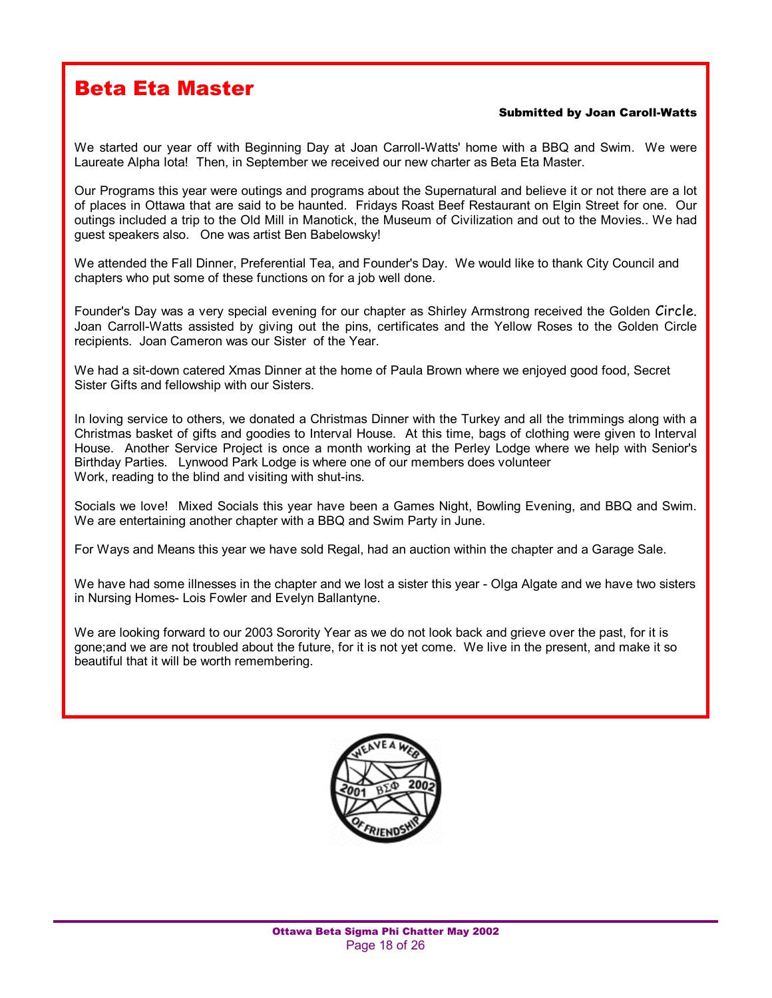### Beta Eta Master

#### Submitted by Joan Caroll-Watts

We started our year off with Beginning Day at Joan Carroll-Watts' home with a BBQ and Swim. We were Laureate Alpha Iota! Then, in September we received our new charter as Beta Eta Master.

Our Programs this year were outings and programs about the Supernatural and believe it or not there are a lot of places in Ottawa that are said to be haunted. Fridays Roast Beef Restaurant on Elgin Street for one. Our outings included a trip to the Old Mill in Manotick, the Museum of Civilization and out to the Movies.. We had guest speakers also. One was artist Ben Babelowsky!

We attended the Fall Dinner, Preferential Tea, and Founder's Day. We would like to thank City Council and chapters who put some of these functions on for a job well done.

Founder's Day was a very special evening for our chapter as Shirley Armstrong received the Golden Circle. Joan Carroll-Watts assisted by giving out the pins, certificates and the Yellow Roses to the Golden Circle recipients. Joan Cameron was our Sister of the Year.

We had a sit-down catered Xmas Dinner at the home of Paula Brown where we enjoyed good food, Secret Sister Gifts and fellowship with our Sisters.

In loving service to others, we donated a Christmas Dinner with the Turkey and all the trimmings along with a Christmas basket of gifts and goodies to Interval House. At this time, bags of clothing were given to Interval House. Another Service Project is once a month working at the Perley Lodge where we help with Senior's Birthday Parties. Lynwood Park Lodge is where one of our members does volunteer Work, reading to the blind and visiting with shut-ins.

Socials we love! Mixed Socials this year have been a Games Night, Bowling Evening, and BBQ and Swim. We are entertaining another chapter with a BBQ and Swim Party in June.

For Ways and Means this year we have sold Regal, had an auction within the chapter and a Garage Sale.

We have had some illnesses in the chapter and we lost a sister this year - Olga Algate and we have two sisters in Nursing Homes- Lois Fowler and Evelyn Ballantyne.

We are looking forward to our 2003 Sorority Year as we do not look back and grieve over the past, for it is gone;and we are not troubled about the future, for it is not yet come. We live in the present, and make it so beautiful that it will be worth remembering.

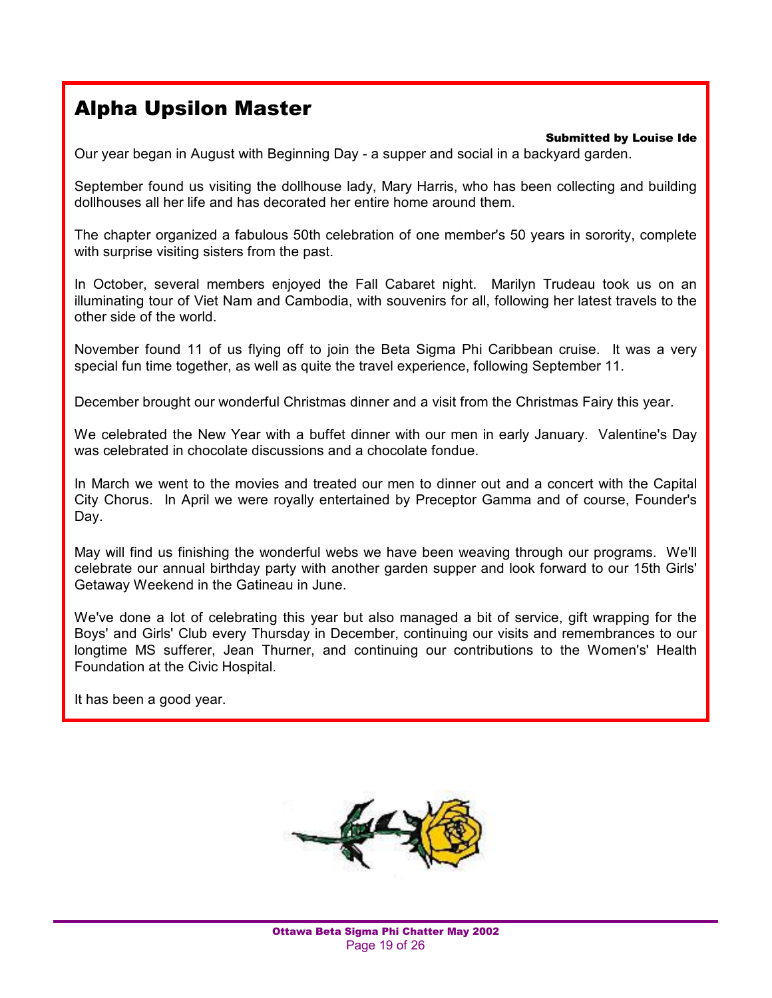### Alpha Upsilon Master

#### Submitted by Louise Ide

Our year began in August with Beginning Day - a supper and social in a backyard garden.

September found us visiting the dollhouse lady, Mary Harris, who has been collecting and building dollhouses all her life and has decorated her entire home around them.

The chapter organized a fabulous 50th celebration of one member's 50 years in sorority, complete with surprise visiting sisters from the past.

In October, several members enjoyed the Fall Cabaret night. Marilyn Trudeau took us on an illuminating tour of Viet Nam and Cambodia, with souvenirs for all, following her latest travels to the other side of the world.

November found 11 of us flying off to join the Beta Sigma Phi Caribbean cruise. It was a very special fun time together, as well as quite the travel experience, following September 11.

December brought our wonderful Christmas dinner and a visit from the Christmas Fairy this year.

We celebrated the New Year with a buffet dinner with our men in early January. Valentine's Day was celebrated in chocolate discussions and a chocolate fondue.

In March we went to the movies and treated our men to dinner out and a concert with the Capital City Chorus. In April we were royally entertained by Preceptor Gamma and of course, Founder's Day.

May will find us finishing the wonderful webs we have been weaving through our programs. We'll celebrate our annual birthday party with another garden supper and look forward to our 15th Girls' Getaway Weekend in the Gatineau in June.

We've done a lot of celebrating this year but also managed a bit of service, gift wrapping for the Boys' and Girls' Club every Thursday in December, continuing our visits and remembrances to our longtime MS sufferer, Jean Thurner, and continuing our contributions to the Women's' Health Foundation at the Civic Hospital.

It has been a good year.

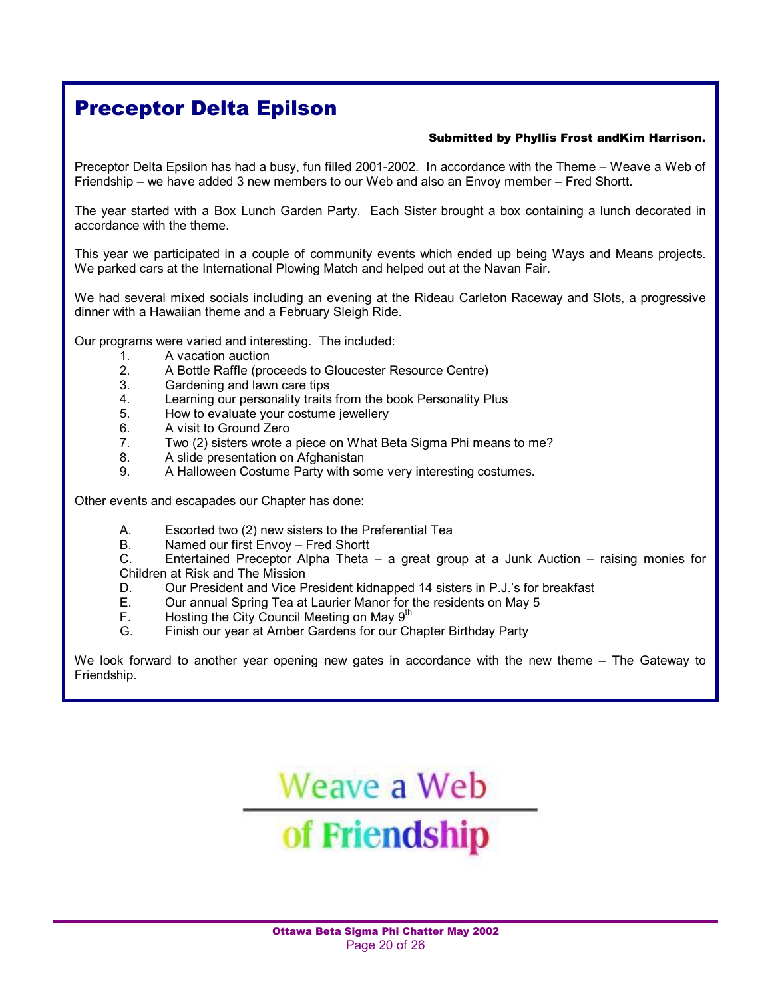### Preceptor Delta Epilson

#### Submitted by Phyllis Frost andKim Harrison.

Preceptor Delta Epsilon has had a busy, fun filled 2001-2002. In accordance with the Theme – Weave a Web of Friendship – we have added 3 new members to our Web and also an Envoy member – Fred Shortt.

The year started with a Box Lunch Garden Party. Each Sister brought a box containing a lunch decorated in accordance with the theme.

This year we participated in a couple of community events which ended up being Ways and Means projects. We parked cars at the International Plowing Match and helped out at the Navan Fair.

We had several mixed socials including an evening at the Rideau Carleton Raceway and Slots, a progressive dinner with a Hawaiian theme and a February Sleigh Ride.

Our programs were varied and interesting. The included:

- 1. A vacation auction
- 2. A Bottle Raffle (proceeds to Gloucester Resource Centre)<br>3. Gardening and lawn care tips
- Gardening and lawn care tips
- 4. Learning our personality traits from the book Personality Plus
- 5. How to evaluate your costume jewellery
- 6. A visit to Ground Zero
- 7. Two (2) sisters wrote a piece on What Beta Sigma Phi means to me?
- 8. A slide presentation on Afghanistan
- 9. A Halloween Costume Party with some very interesting costumes.

Other events and escapades our Chapter has done:

- A. Escorted two (2) new sisters to the Preferential Tea
- B. Named our first Envoy Fred Shortt

C. Entertained Preceptor Alpha Theta – a great group at a Junk Auction – raising monies for Children at Risk and The Mission

- D. Our President and Vice President kidnapped 14 sisters in P.J.'s for breakfast
- E. Our annual Spring Tea at Laurier Manor for the residents on May 5
- F. Hosting the City Council Meeting on May 9<sup>th</sup><br>G. Finish our year at Amber Gardens for our Ch
- Finish our year at Amber Gardens for our Chapter Birthday Party

We look forward to another year opening new gates in accordance with the new theme – The Gateway to Friendship.

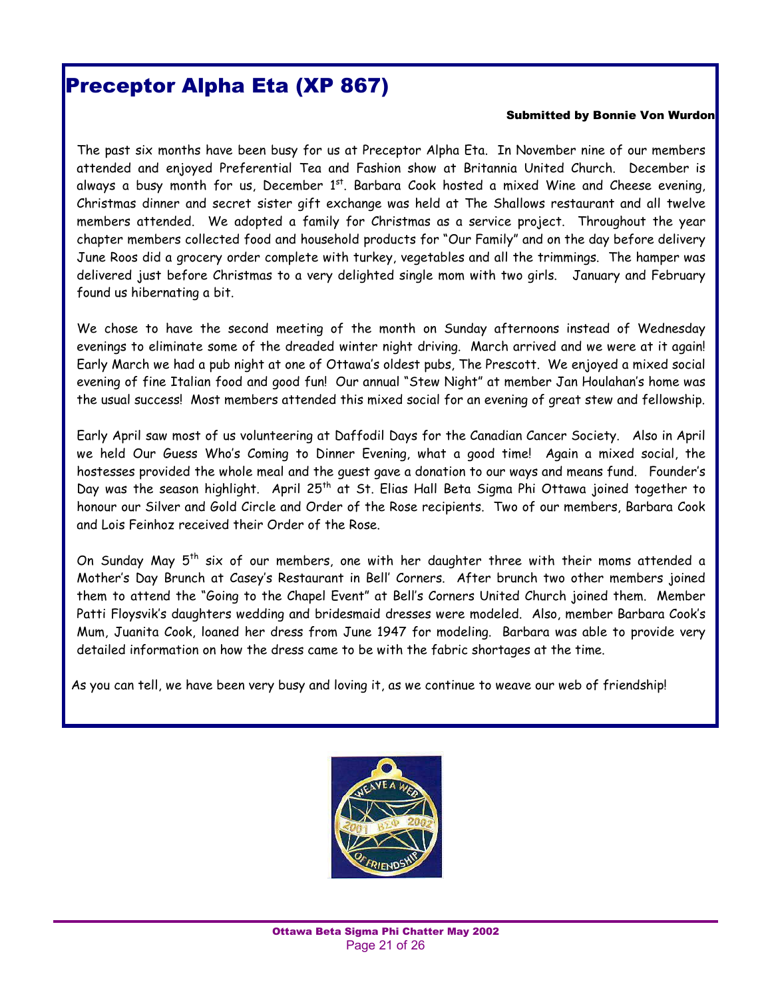### Preceptor Alpha Eta (XP 867)

#### Submitted by Bonnie Von Wurdon

The past six months have been busy for us at Preceptor Alpha Eta. In November nine of our members attended and enjoyed Preferential Tea and Fashion show at Britannia United Church. December is always a busy month for us, December  $1^{st}$ . Barbara Cook hosted a mixed Wine and Cheese evening, Christmas dinner and secret sister gift exchange was held at The Shallows restaurant and all twelve members attended. We adopted a family for Christmas as a service project. Throughout the year chapter members collected food and household products for "Our Family" and on the day before delivery June Roos did a grocery order complete with turkey, vegetables and all the trimmings. The hamper was delivered just before Christmas to a very delighted single mom with two girls. January and February found us hibernating a bit.

We chose to have the second meeting of the month on Sunday afternoons instead of Wednesday evenings to eliminate some of the dreaded winter night driving. March arrived and we were at it again! Early March we had a pub night at one of Ottawaís oldest pubs, The Prescott. We enjoyed a mixed social evening of fine Italian food and good fun! Our annual "Stew Night" at member Jan Houlahan's home was the usual success! Most members attended this mixed social for an evening of great stew and fellowship.

Early April saw most of us volunteering at Daffodil Days for the Canadian Cancer Society. Also in April we held Our Guess Whoís Coming to Dinner Evening, what a good time! Again a mixed social, the hostesses provided the whole meal and the quest gave a donation to our ways and means fund. Founder's Day was the season highlight. April 25<sup>th</sup> at St. Elias Hall Beta Sigma Phi Ottawa joined together to honour our Silver and Gold Circle and Order of the Rose recipients. Two of our members, Barbara Cook and Lois Feinhoz received their Order of the Rose.

On Sunday May  $5^{th}$  six of our members, one with her daughter three with their moms attended a Motherís Day Brunch at Caseyís Restaurant in Bellí Corners. After brunch two other members joined them to attend the "Going to the Chapel Event" at Bell's Corners United Church joined them. Member Patti Floysvik's daughters wedding and bridesmaid dresses were modeled. Also, member Barbara Cook's Mum, Juanita Cook, loaned her dress from June 1947 for modeling. Barbara was able to provide very detailed information on how the dress came to be with the fabric shortages at the time.

As you can tell, we have been very busy and loving it, as we continue to weave our web of friendship!

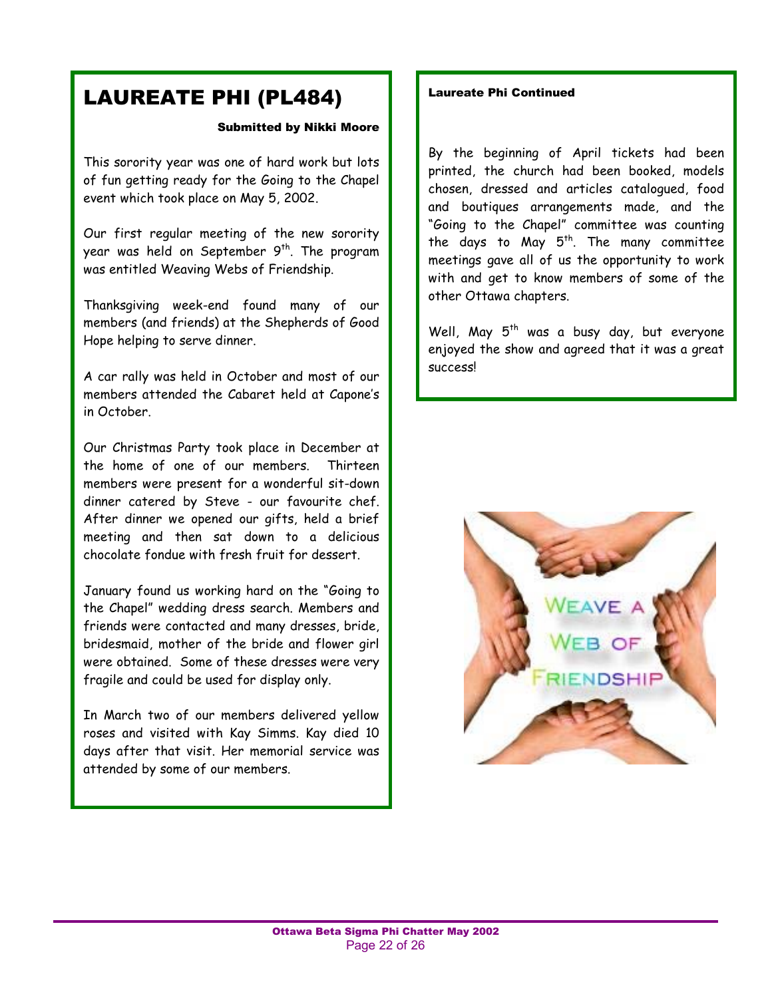### LAUREATE PHI (PL484)

#### Submitted by Nikki Moore

This sorority year was one of hard work but lots of fun getting ready for the Going to the Chapel event which took place on May 5, 2002.

Our first regular meeting of the new sorority year was held on September  $9<sup>th</sup>$ . The program was entitled Weaving Webs of Friendship.

Thanksgiving week-end found many of our members (and friends) at the Shepherds of Good Hope helping to serve dinner.

 members attended the Cabaret held at Caponeís A car rally was held in October and most of our in October.

Our Christmas Party took place in December at the home of one of our members. Thirteen members were present for a wonderful sit-down dinner catered by Steve - our favourite chef. After dinner we opened our gifts, held a brief meeting and then sat down to a delicious chocolate fondue with fresh fruit for dessert.

January found us working hard on the "Going to the Chapel" wedding dress search. Members and friends were contacted and many dresses, bride, bridesmaid, mother of the bride and flower girl were obtained. Some of these dresses were very fragile and could be used for display only.

In March two of our members delivered yellow roses and visited with Kay Simms. Kay died 10 days after that visit. Her memorial service was attended by some of our members.

#### Laureate Phi Continued

By the beginning of April tickets had been printed, the church had been booked, models chosen, dressed and articles catalogued, food and boutiques arrangements made, and the "Going to the Chapel" committee was counting the days to May  $5^{th}$ . The many committee meetings gave all of us the opportunity to work with and get to know members of some of the other Ottawa chapters.

Well, May  $5<sup>th</sup>$  was a busy day, but everyone enjoyed the show and agreed that it was a great success!

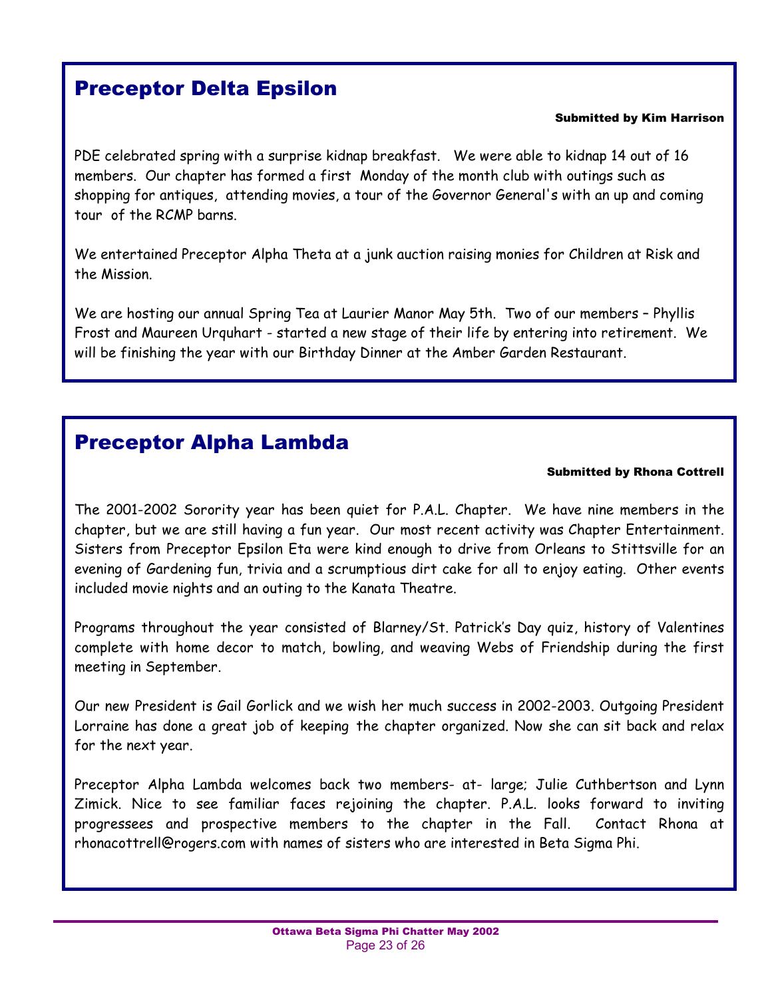### Preceptor Delta Epsilon

#### Submitted by Kim Harrison

PDE celebrated spring with a surprise kidnap breakfast. We were able to kidnap 14 out of 16 members. Our chapter has formed a first Monday of the month club with outings such as shopping for antiques, attending movies, a tour of the Governor General's with an up and coming tour of the RCMP barns.

We entertained Preceptor Alpha Theta at a junk auction raising monies for Children at Risk and the Mission.

We are hosting our annual Spring Tea at Laurier Manor May 5th. Two of our members - Phyllis Frost and Maureen Urquhart - started a new stage of their life by entering into retirement. We will be finishing the year with our Birthday Dinner at the Amber Garden Restaurant.

### Preceptor Alpha Lambda

#### Submitted by Rhona Cottrell

The 2001-2002 Sorority year has been quiet for P.A.L. Chapter. We have nine members in the chapter, but we are still having a fun year. Our most recent activity was Chapter Entertainment. Sisters from Preceptor Epsilon Eta were kind enough to drive from Orleans to Stittsville for an evening of Gardening fun, trivia and a scrumptious dirt cake for all to enjoy eating. Other events included movie nights and an outing to the Kanata Theatre.

Programs throughout the year consisted of Blarney/St. Patrick's Day quiz, history of Valentines complete with home decor to match, bowling, and weaving Webs of Friendship during the first meeting in September.

Our new President is Gail Gorlick and we wish her much success in 2002-2003. Outgoing President Lorraine has done a great job of keeping the chapter organized. Now she can sit back and relax for the next year.

Preceptor Alpha Lambda welcomes back two members- at- large; Julie Cuthbertson and Lynn Zimick. Nice to see familiar faces rejoining the chapter. P.A.L. looks forward to inviting progressees and prospective members to the chapter in the Fall. Contact Rhona at rhonacottrell@rogers.com with names of sisters who are interested in Beta Sigma Phi.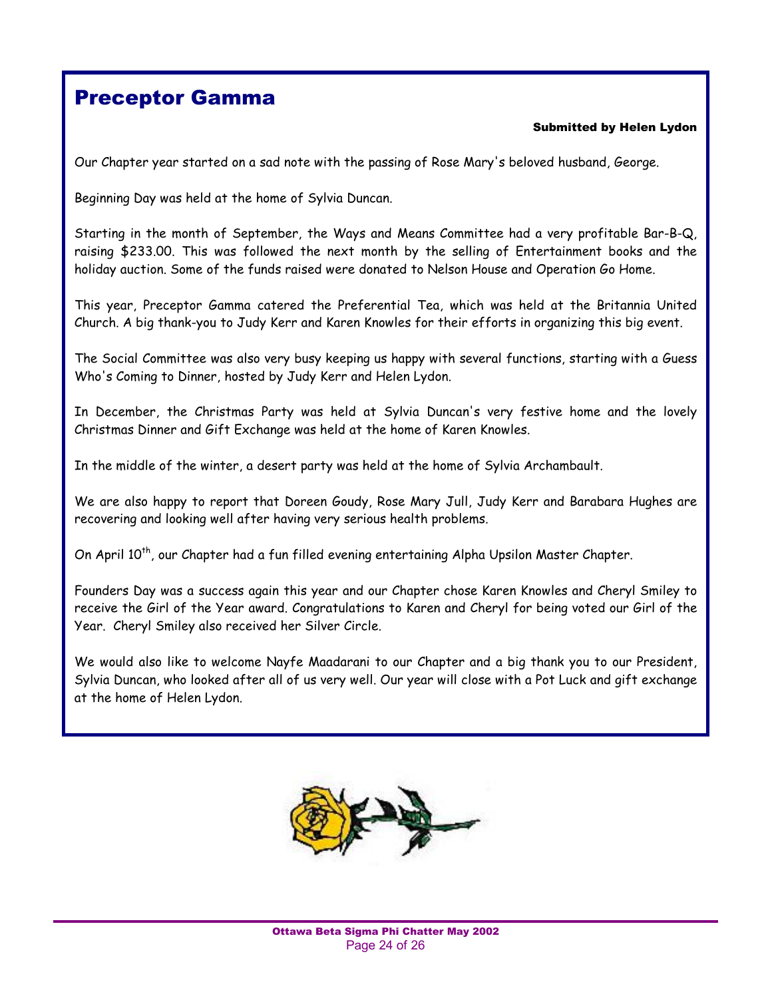### Preceptor Gamma

#### Submitted by Helen Lydon

Our Chapter year started on a sad note with the passing of Rose Mary's beloved husband, George.

Beginning Day was held at the home of Sylvia Duncan.

Starting in the month of September, the Ways and Means Committee had a very profitable Bar-B-Q, raising \$233.00. This was followed the next month by the selling of Entertainment books and the holiday auction. Some of the funds raised were donated to Nelson House and Operation Go Home.

This year, Preceptor Gamma catered the Preferential Tea, which was held at the Britannia United Church. A big thank-you to Judy Kerr and Karen Knowles for their efforts in organizing this big event.

The Social Committee was also very busy keeping us happy with several functions, starting with a Guess Who's Coming to Dinner, hosted by Judy Kerr and Helen Lydon.

In December, the Christmas Party was held at Sylvia Duncan's very festive home and the lovely Christmas Dinner and Gift Exchange was held at the home of Karen Knowles.

In the middle of the winter, a desert party was held at the home of Sylvia Archambault.

We are also happy to report that Doreen Goudy, Rose Mary Jull, Judy Kerr and Barabara Hughes are recovering and looking well after having very serious health problems.

On April 10<sup>th</sup>, our Chapter had a fun filled evening entertaining Alpha Upsilon Master Chapter.

Founders Day was a success again this year and our Chapter chose Karen Knowles and Cheryl Smiley to receive the Girl of the Year award. Congratulations to Karen and Cheryl for being voted our Girl of the Year. Cheryl Smiley also received her Silver Circle.

We would also like to welcome Nayfe Maadarani to our Chapter and a big thank you to our President, Sylvia Duncan, who looked after all of us very well. Our year will close with a Pot Luck and gift exchange at the home of Helen Lydon.

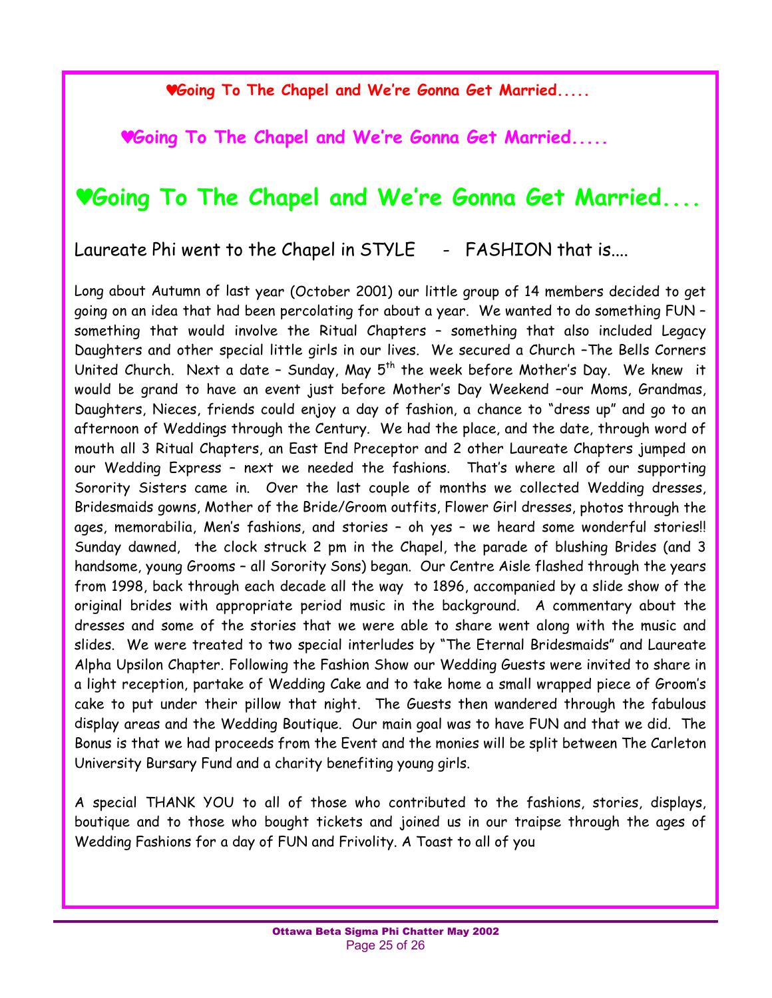♥**Going To The Chapel and Weíre Gonna Get Married.....** 

♥**Going To The Chapel and Weíre Gonna Get Married.....** 

### ♥**Going To The Chapel and Weíre Gonna Get Married....**

Laureate Phi went to the Chapel in STYLE - FASHION that is....

Long about Autumn of last year (October 2001) our little group of 14 members decided to get going on an idea that had been percolating for about a year. We wanted to do something FUN something that would involve the Ritual Chapters - something that also included Legacy Daughters and other special little girls in our lives. We secured a Church -The Bells Corners United Church. Next a date - Sunday, May  $5<sup>th</sup>$  the week before Mother's Day. We knew it would be grand to have an event just before Mother's Day Weekend -our Moms, Grandmas, Daughters, Nieces, friends could enjoy a day of fashion, a chance to "dress up" and go to an afternoon of Weddings through the Century. We had the place, and the date, through word of mouth all 3 Ritual Chapters, an East End Preceptor and 2 other Laureate Chapters jumped on our Wedding Express - next we needed the fashions. That's where all of our supporting Sorority Sisters came in. Over the last couple of months we collected Wedding dresses, Bridesmaids gowns, Mother of the Bride/Groom outfits, Flower Girl dresses, photos through the ages, memorabilia, Men's fashions, and stories - oh yes - we heard some wonderful stories!! Sunday dawned, the clock struck 2 pm in the Chapel, the parade of blushing Brides (and 3 handsome, young Grooms - all Sorority Sons) began. Our Centre Aisle flashed through the years from 1998, back through each decade all the way to 1896, accompanied by a slide show of the original brides with appropriate period music in the background. A commentary about the dresses and some of the stories that we were able to share went along with the music and slides. We were treated to two special interludes by "The Eternal Bridesmaids" and Laureate Alpha Upsilon Chapter. Following the Fashion Show our Wedding Guests were invited to share in a light reception, partake of Wedding Cake and to take home a small wrapped piece of Groomís cake to put under their pillow that night. The Guests then wandered through the fabulous display areas and the Wedding Boutique. Our main goal was to have FUN and that we did. The Bonus is that we had proceeds from the Event and the monies will be split between The Carleton University Bursary Fund and a charity benefiting young girls.

A special THANK YOU to all of those who contributed to the fashions, stories, displays, boutique and to those who bought tickets and joined us in our traipse through the ages of Wedding Fashions for a day of FUN and Frivolity. A Toast to all of you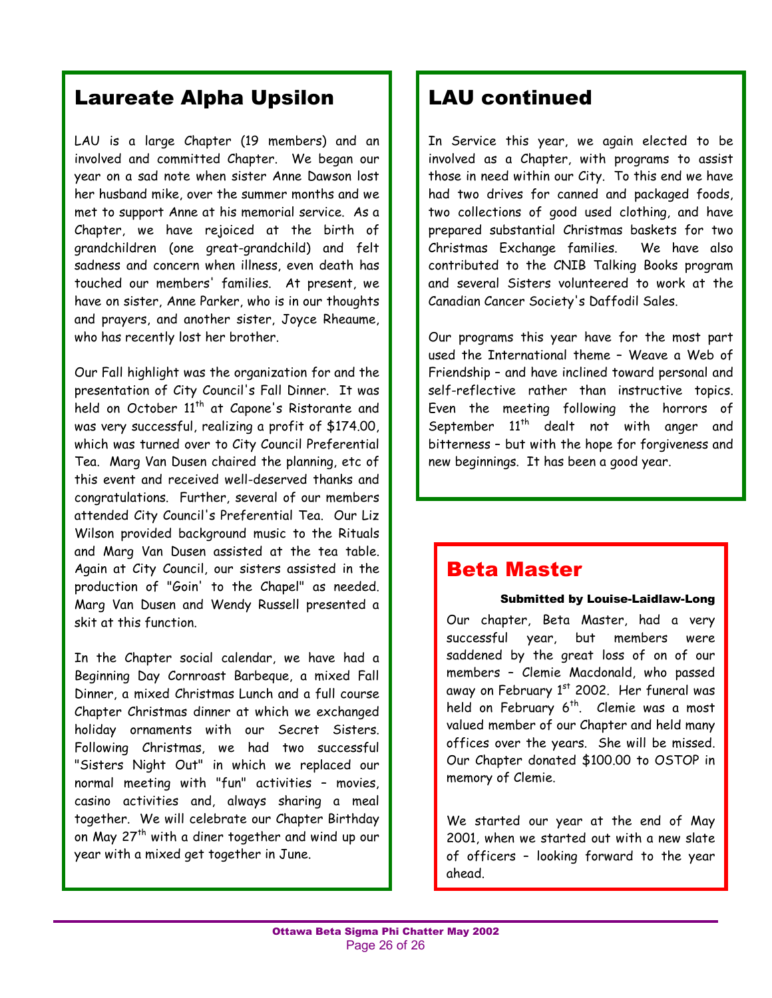### Laureate Alpha Upsilon

LAU is a large Chapter (19 members) and an involved and committed Chapter. We began our year on a sad note when sister Anne Dawson lost her husband mike, over the summer months and we met to support Anne at his memorial service. As a Chapter, we have rejoiced at the birth of grandchildren (one great-grandchild) and felt sadness and concern when illness, even death has touched our members' families. At present, we have on sister, Anne Parker, who is in our thoughts and prayers, and another sister, Joyce Rheaume, who has recently lost her brother.

Our Fall highlight was the organization for and the presentation of City Council's Fall Dinner. It was held on October 11<sup>th</sup> at Capone's Ristorante and was very successful, realizing a profit of \$174.00, which was turned over to City Council Preferential Tea. Marg Van Dusen chaired the planning, etc of this event and received well-deserved thanks and congratulations. Further, several of our members attended City Council's Preferential Tea. Our Liz Wilson provided background music to the Rituals and Marg Van Dusen assisted at the tea table. Again at City Council, our sisters assisted in the production of "Goin' to the Chapel" as needed. Marg Van Dusen and Wendy Russell presented a skit at this function.

In the Chapter social calendar, we have had a Beginning Day Cornroast Barbeque, a mixed Fall Dinner, a mixed Christmas Lunch and a full course Chapter Christmas dinner at which we exchanged holiday ornaments with our Secret Sisters. Following Christmas, we had two successful "Sisters Night Out" in which we replaced our normal meeting with "fun" activities  $-$  movies, casino activities and, always sharing a meal together. We will celebrate our Chapter Birthday on May 27<sup>th</sup> with a diner together and wind up our year with a mixed get together in June.

### LAU continued

In Service this year, we again elected to be involved as a Chapter, with programs to assist those in need within our City. To this end we have had two drives for canned and packaged foods, two collections of good used clothing, and have prepared substantial Christmas baskets for two Christmas Exchange families. We have also contributed to the CNIB Talking Books program and several Sisters volunteered to work at the Canadian Cancer Society's Daffodil Sales.

Our programs this year have for the most part used the International theme - Weave a Web of Friendship - and have inclined toward personal and self-reflective rather than instructive topics. Even the meeting following the horrors of September  $11^{th}$  dealt not with anger and bitterness - but with the hope for forgiveness and new beginnings. It has been a good year.

### Beta Master

#### Submitted by Louise-Laidlaw-Long

Our chapter, Beta Master, had a very successful year, but members were saddened by the great loss of on of our members - Clemie Macdonald, who passed away on February  $1<sup>st</sup>$  2002. Her funeral was held on February 6<sup>th</sup>. Clemie was a most valued member of our Chapter and held many offices over the years. She will be missed. Our Chapter donated \$100.00 to OSTOP in memory of Clemie.

We started our year at the end of May 2001, when we started out with a new slate of officers - looking forward to the year ahead.